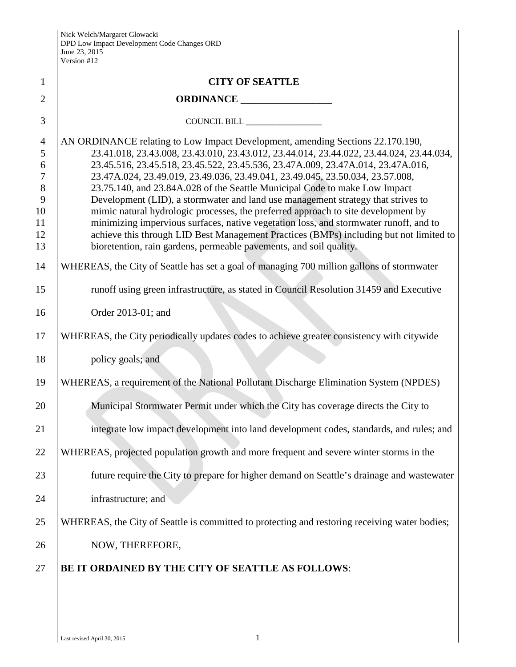| $\mathbf{1}$                                                       | <b>CITY OF SEATTLE</b>                                                                                                                                                                                                                                                                                                                                                                                                                                                                                                                                                                                                                                                                                                                                                                  |
|--------------------------------------------------------------------|-----------------------------------------------------------------------------------------------------------------------------------------------------------------------------------------------------------------------------------------------------------------------------------------------------------------------------------------------------------------------------------------------------------------------------------------------------------------------------------------------------------------------------------------------------------------------------------------------------------------------------------------------------------------------------------------------------------------------------------------------------------------------------------------|
| $\overline{2}$                                                     | ORDINANCE                                                                                                                                                                                                                                                                                                                                                                                                                                                                                                                                                                                                                                                                                                                                                                               |
| 3                                                                  |                                                                                                                                                                                                                                                                                                                                                                                                                                                                                                                                                                                                                                                                                                                                                                                         |
| $\overline{4}$<br>5<br>6<br>$\tau$<br>$8\,$<br>9<br>10<br>11<br>12 | AN ORDINANCE relating to Low Impact Development, amending Sections 22.170.190,<br>23.41.018, 23.43.008, 23.43.010, 23.43.012, 23.44.014, 23.44.022, 23.44.024, 23.44.034,<br>23.45.516, 23.45.518, 23.45.522, 23.45.536, 23.47A.009, 23.47A.014, 23.47A.016,<br>23.47A.024, 23.49.019, 23.49.036, 23.49.041, 23.49.045, 23.50.034, 23.57.008,<br>23.75.140, and 23.84A.028 of the Seattle Municipal Code to make Low Impact<br>Development (LID), a stormwater and land use management strategy that strives to<br>mimic natural hydrologic processes, the preferred approach to site development by<br>minimizing impervious surfaces, native vegetation loss, and stormwater runoff, and to<br>achieve this through LID Best Management Practices (BMPs) including but not limited to |
| 13                                                                 | bioretention, rain gardens, permeable pavements, and soil quality.                                                                                                                                                                                                                                                                                                                                                                                                                                                                                                                                                                                                                                                                                                                      |
| 14                                                                 | WHEREAS, the City of Seattle has set a goal of managing 700 million gallons of stormwater                                                                                                                                                                                                                                                                                                                                                                                                                                                                                                                                                                                                                                                                                               |
| 15                                                                 | runoff using green infrastructure, as stated in Council Resolution 31459 and Executive                                                                                                                                                                                                                                                                                                                                                                                                                                                                                                                                                                                                                                                                                                  |
| 16                                                                 | Order 2013-01; and                                                                                                                                                                                                                                                                                                                                                                                                                                                                                                                                                                                                                                                                                                                                                                      |
| 17                                                                 | WHEREAS, the City periodically updates codes to achieve greater consistency with citywide                                                                                                                                                                                                                                                                                                                                                                                                                                                                                                                                                                                                                                                                                               |
| 18                                                                 | policy goals; and                                                                                                                                                                                                                                                                                                                                                                                                                                                                                                                                                                                                                                                                                                                                                                       |
| 19                                                                 | WHEREAS, a requirement of the National Pollutant Discharge Elimination System (NPDES)                                                                                                                                                                                                                                                                                                                                                                                                                                                                                                                                                                                                                                                                                                   |
| 20                                                                 | Municipal Stormwater Permit under which the City has coverage directs the City to                                                                                                                                                                                                                                                                                                                                                                                                                                                                                                                                                                                                                                                                                                       |
| 21                                                                 | integrate low impact development into land development codes, standards, and rules; and                                                                                                                                                                                                                                                                                                                                                                                                                                                                                                                                                                                                                                                                                                 |
| 22                                                                 | WHEREAS, projected population growth and more frequent and severe winter storms in the                                                                                                                                                                                                                                                                                                                                                                                                                                                                                                                                                                                                                                                                                                  |
| 23                                                                 | future require the City to prepare for higher demand on Seattle's drainage and wastewater                                                                                                                                                                                                                                                                                                                                                                                                                                                                                                                                                                                                                                                                                               |
| 24                                                                 | infrastructure; and                                                                                                                                                                                                                                                                                                                                                                                                                                                                                                                                                                                                                                                                                                                                                                     |
| 25                                                                 | WHEREAS, the City of Seattle is committed to protecting and restoring receiving water bodies;                                                                                                                                                                                                                                                                                                                                                                                                                                                                                                                                                                                                                                                                                           |
| 26                                                                 | NOW, THEREFORE,                                                                                                                                                                                                                                                                                                                                                                                                                                                                                                                                                                                                                                                                                                                                                                         |
| 27                                                                 | BE IT ORDAINED BY THE CITY OF SEATTLE AS FOLLOWS:                                                                                                                                                                                                                                                                                                                                                                                                                                                                                                                                                                                                                                                                                                                                       |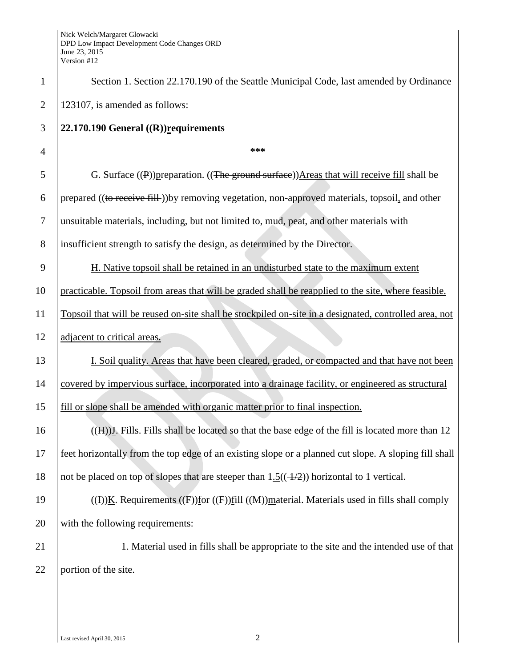| $\mathbf{1}$   | Section 1. Section 22.170.190 of the Seattle Municipal Code, last amended by Ordinance                             |
|----------------|--------------------------------------------------------------------------------------------------------------------|
| $\overline{2}$ | 123107, is amended as follows:                                                                                     |
| 3              | 22.170.190 General $((R))$ requirements                                                                            |
| 4              | ***                                                                                                                |
| 5              | G. Surface $(\mathbf{P})$ ) preparation. $((\mathbf{The\ ground\ surface}))$ Areas that will receive fill shall be |
| 6              | prepared ((to receive fill-)) by removing vegetation, non-approved materials, topsoil, and other                   |
| $\tau$         | unsuitable materials, including, but not limited to, mud, peat, and other materials with                           |
| 8              | insufficient strength to satisfy the design, as determined by the Director.                                        |
| 9              | H. Native topsoil shall be retained in an undisturbed state to the maximum extent                                  |
| 10             | practicable. Topsoil from areas that will be graded shall be reapplied to the site, where feasible.                |
| 11             | Topsoil that will be reused on-site shall be stockpiled on-site in a designated, controlled area, not              |
| 12             | adjacent to critical areas.                                                                                        |
| 13             | I. Soil quality. Areas that have been cleared, graded, or compacted and that have not been                         |
| 14             | covered by impervious surface, incorporated into a drainage facility, or engineered as structural                  |
| 15             | fill or slope shall be amended with organic matter prior to final inspection.                                      |
| 16             | $((H))I$ . Fills. Fills shall be located so that the base edge of the fill is located more than 12                 |
| 17             | feet horizontally from the top edge of an existing slope or a planned cut slope. A sloping fill shall              |
| 18             | not be placed on top of slopes that are steeper than $1.5((-4/2))$ horizontal to 1 vertical.                       |
| 19             | ((I))K. Requirements ((F))for ((F))fill ((M))material. Materials used in fills shall comply                        |
| 20             | with the following requirements:                                                                                   |
| 21             | 1. Material used in fills shall be appropriate to the site and the intended use of that                            |
| 22             | portion of the site.                                                                                               |
|                |                                                                                                                    |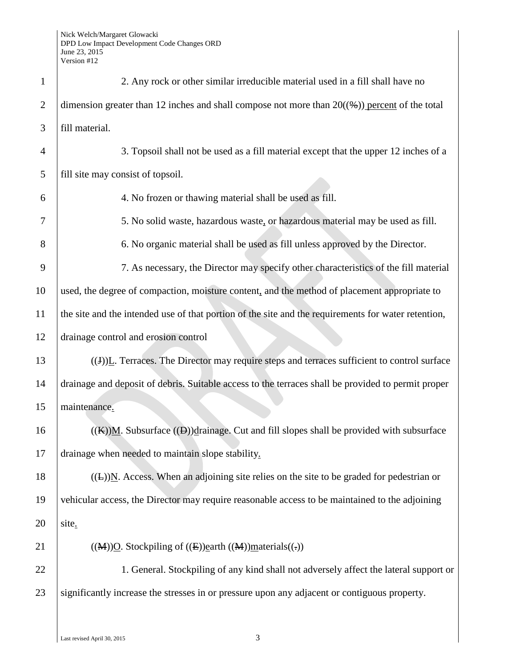| $\mathbf{1}$   | 2. Any rock or other similar irreducible material used in a fill shall have no                          |
|----------------|---------------------------------------------------------------------------------------------------------|
| $\overline{2}$ | dimension greater than 12 inches and shall compose not more than $20(\frac{4}{2})$ percent of the total |
| 3              | fill material.                                                                                          |
| 4              | 3. Topsoil shall not be used as a fill material except that the upper 12 inches of a                    |
| 5              | fill site may consist of topsoil.                                                                       |
| 6              | 4. No frozen or thawing material shall be used as fill.                                                 |
| 7              | 5. No solid waste, hazardous waste, or hazardous material may be used as fill.                          |
| 8              | 6. No organic material shall be used as fill unless approved by the Director.                           |
| 9              | 7. As necessary, the Director may specify other characteristics of the fill material                    |
| 10             | used, the degree of compaction, moisture content, and the method of placement appropriate to            |
| 11             | the site and the intended use of that portion of the site and the requirements for water retention,     |
| 12             | drainage control and erosion control                                                                    |
| 13             | $((J))$ . Terraces. The Director may require steps and terraces sufficient to control surface           |
| 14             | drainage and deposit of debris. Suitable access to the terraces shall be provided to permit proper      |
| 15             | maintenance.                                                                                            |
| 16             | $((K))$ M. Subsurface $((D))$ drainage. Cut and fill slopes shall be provided with subsurface           |
| 17             | drainage when needed to maintain slope stability.                                                       |
| 18             | $((E))$ N. Access. When an adjoining site relies on the site to be graded for pedestrian or             |
| 19             | vehicular access, the Director may require reasonable access to be maintained to the adjoining          |
| 20             | site.                                                                                                   |
| 21             | $((M))Q$ . Stockpiling of $((E))$ earth $((M))$ materials $((.)$                                        |
| 22             | 1. General. Stockpiling of any kind shall not adversely affect the lateral support or                   |
| 23             | significantly increase the stresses in or pressure upon any adjacent or contiguous property.            |
|                |                                                                                                         |

 $\overline{\phantom{a}}$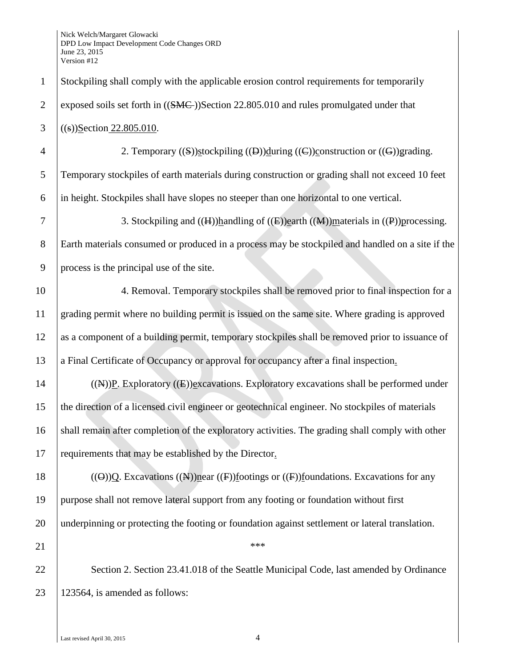| $\mathbf{1}$   | Stockpiling shall comply with the applicable erosion control requirements for temporarily                                             |
|----------------|---------------------------------------------------------------------------------------------------------------------------------------|
| $\overline{2}$ | exposed soils set forth in ((SMC-))Section 22.805.010 and rules promulgated under that                                                |
| 3              | $((s))$ Section 22.805.010.                                                                                                           |
| $\overline{4}$ | 2. Temporary $((S))$ stockpiling $((D))$ during $((C))$ construction or $((G))$ grading.                                              |
| 5              | Temporary stockpiles of earth materials during construction or grading shall not exceed 10 feet                                       |
| 6              | in height. Stockpiles shall have slopes no steeper than one horizontal to one vertical.                                               |
| 7              | 3. Stockpiling and $((H))$ handling of $((E))$ earth $((M))$ materials in $((P))$ processing.                                         |
| 8              | Earth materials consumed or produced in a process may be stockpiled and handled on a site if the                                      |
| 9              | process is the principal use of the site.                                                                                             |
| 10             | 4. Removal. Temporary stockpiles shall be removed prior to final inspection for a                                                     |
| 11             | grading permit where no building permit is issued on the same site. Where grading is approved                                         |
| 12             | as a component of a building permit, temporary stockpiles shall be removed prior to issuance of                                       |
| 13             | a Final Certificate of Occupancy or approval for occupancy after a final inspection.                                                  |
| 14             | $((A))P$ . Exploratory $((E))P$ xcavations. Exploratory excavations shall be performed under                                          |
| 15             | the direction of a licensed civil engineer or geotechnical engineer. No stockpiles of materials                                       |
| 16             | shall remain after completion of the exploratory activities. The grading shall comply with other                                      |
| 17             | requirements that may be established by the Director.                                                                                 |
| 18             | $((\Theta))\Omega$ . Excavations $((\mathbb{A}))$ near $((\mathbb{F}))$ footings or $((\mathbb{F}))$ foundations. Excavations for any |
| 19             | purpose shall not remove lateral support from any footing or foundation without first                                                 |
| 20             | underpinning or protecting the footing or foundation against settlement or lateral translation.                                       |
| 21             | ***                                                                                                                                   |
| 22             | Section 2. Section 23.41.018 of the Seattle Municipal Code, last amended by Ordinance                                                 |
| 23             | 123564, is amended as follows:                                                                                                        |
|                |                                                                                                                                       |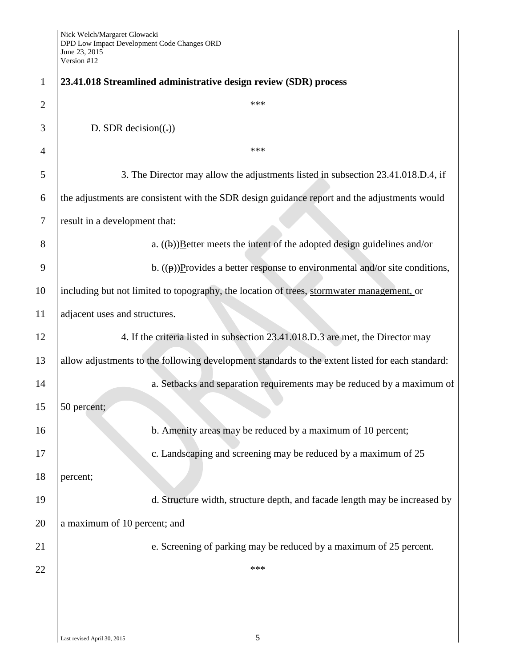| $\mathbf{1}$   | 23.41.018 Streamlined administrative design review (SDR) process                                 |
|----------------|--------------------------------------------------------------------------------------------------|
| $\overline{2}$ | ***                                                                                              |
| 3              | D. SDR decision $((.)$                                                                           |
| 4              | ***                                                                                              |
| 5              | 3. The Director may allow the adjustments listed in subsection 23.41.018.D.4, if                 |
| 6              | the adjustments are consistent with the SDR design guidance report and the adjustments would     |
| 7              | result in a development that:                                                                    |
| 8              | a. $((\theta))$ Exetter meets the intent of the adopted design guidelines and/or                 |
| 9              | b. $((\theta))$ Provides a better response to environmental and/or site conditions,              |
| 10             | including but not limited to topography, the location of trees, stormwater management, or        |
| 11             | adjacent uses and structures.                                                                    |
| 12             | 4. If the criteria listed in subsection 23.41.018.D.3 are met, the Director may                  |
| 13             | allow adjustments to the following development standards to the extent listed for each standard: |
| 14             | a. Setbacks and separation requirements may be reduced by a maximum of                           |
| 15             | 50 percent;                                                                                      |
| 16             | b. Amenity areas may be reduced by a maximum of 10 percent;                                      |
| 17             | c. Landscaping and screening may be reduced by a maximum of 25                                   |
| 18             | percent;                                                                                         |
| 19             | d. Structure width, structure depth, and facade length may be increased by                       |
| 20             | a maximum of 10 percent; and                                                                     |
| 21             | e. Screening of parking may be reduced by a maximum of 25 percent.                               |
| 22             | ***                                                                                              |
|                |                                                                                                  |
|                |                                                                                                  |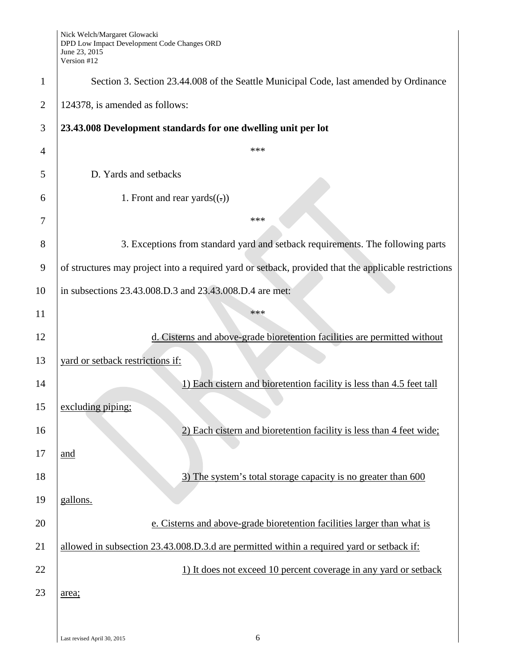| $\mathbf{1}$   | Section 3. Section 23.44.008 of the Seattle Municipal Code, last amended by Ordinance                |
|----------------|------------------------------------------------------------------------------------------------------|
| $\overline{2}$ | 124378, is amended as follows:                                                                       |
| 3              | 23.43.008 Development standards for one dwelling unit per lot                                        |
| 4              | ***                                                                                                  |
| 5              | D. Yards and setbacks                                                                                |
| 6              | 1. Front and rear yards $((.)$                                                                       |
| 7              | ***                                                                                                  |
| 8              | 3. Exceptions from standard yard and setback requirements. The following parts                       |
| 9              | of structures may project into a required yard or setback, provided that the applicable restrictions |
| 10             | in subsections 23.43.008.D.3 and 23.43.008.D.4 are met:                                              |
| 11             | ***                                                                                                  |
| 12             | d. Cisterns and above-grade bioretention facilities are permitted without                            |
| 13             | yard or setback restrictions if:                                                                     |
| 14             | 1) Each cistern and bioretention facility is less than 4.5 feet tall                                 |
| 15             | excluding piping;                                                                                    |
| 16             | 2) Each cistern and bioretention facility is less than 4 feet wide;                                  |
| 17             | and                                                                                                  |
| 18             | 3) The system's total storage capacity is no greater than 600                                        |
| 19             | gallons.                                                                                             |
| 20             | e. Cisterns and above-grade bioretention facilities larger than what is                              |
| 21             | allowed in subsection 23.43.008.D.3.d are permitted within a required yard or setback if:            |
| 22             | 1) It does not exceed 10 percent coverage in any yard or setback                                     |
| 23             | area;                                                                                                |
|                |                                                                                                      |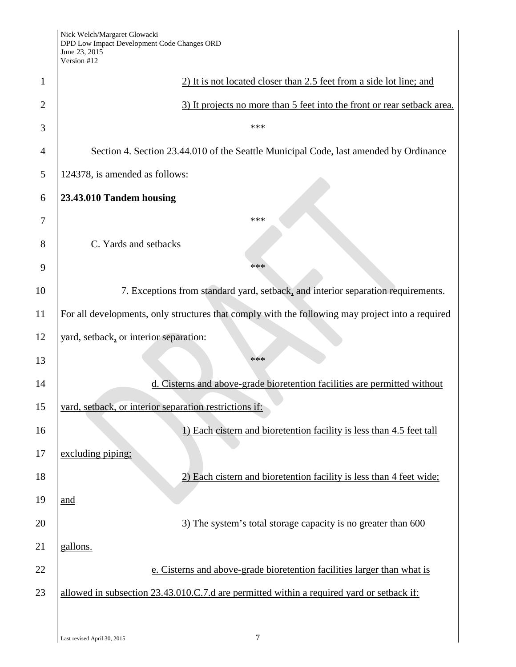|                | Version $#12$                                                                                    |
|----------------|--------------------------------------------------------------------------------------------------|
| 1              | 2) It is not located closer than 2.5 feet from a side lot line; and                              |
| $\overline{2}$ | 3) It projects no more than 5 feet into the front or rear setback area.                          |
| 3              | ***                                                                                              |
| 4              | Section 4. Section 23.44.010 of the Seattle Municipal Code, last amended by Ordinance            |
| 5              | 124378, is amended as follows:                                                                   |
| 6              | 23.43.010 Tandem housing                                                                         |
| 7              | ***                                                                                              |
| 8              | C. Yards and setbacks                                                                            |
| 9              | ***                                                                                              |
| 10             | 7. Exceptions from standard yard, setback, and interior separation requirements.                 |
| 11             | For all developments, only structures that comply with the following may project into a required |
| 12             | yard, setback, or interior separation:                                                           |
| 13             | ***                                                                                              |
| 14             | d. Cisterns and above-grade bioretention facilities are permitted without                        |
| 15             | yard, setback, or interior separation restrictions if:                                           |
| 16             | 1) Each cistern and bioretention facility is less than 4.5 feet tall                             |
| 17             | excluding piping;                                                                                |
| 18             | 2) Each cistern and bioretention facility is less than 4 feet wide;                              |
| 19             | and                                                                                              |
| 20             | 3) The system's total storage capacity is no greater than 600                                    |
| 21             | gallons.                                                                                         |
| 22             | e. Cisterns and above-grade bioretention facilities larger than what is                          |
| 23             | allowed in subsection 23.43.010.C.7.d are permitted within a required yard or setback if:        |
|                |                                                                                                  |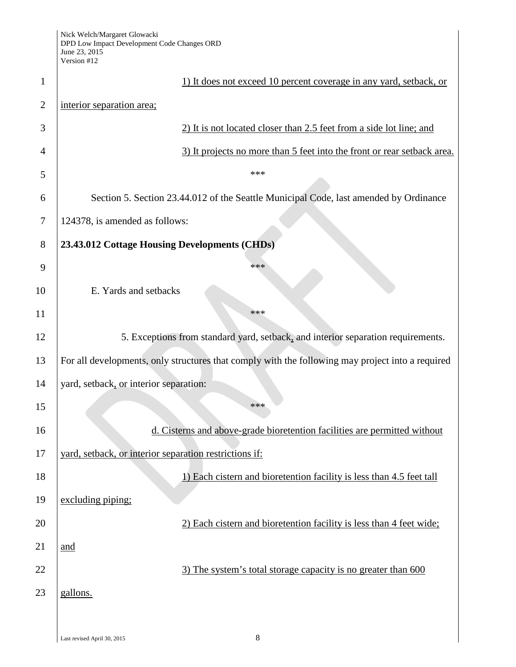| $\mathbf{1}$   | 1) It does not exceed 10 percent coverage in any yard, setback, or                               |
|----------------|--------------------------------------------------------------------------------------------------|
| $\overline{2}$ | interior separation area;                                                                        |
| 3              | 2) It is not located closer than 2.5 feet from a side lot line; and                              |
| 4              | 3) It projects no more than 5 feet into the front or rear setback area.                          |
| 5              | ***                                                                                              |
| 6              | Section 5. Section 23.44.012 of the Seattle Municipal Code, last amended by Ordinance            |
| 7              | 124378, is amended as follows:                                                                   |
| 8              | 23.43.012 Cottage Housing Developments (CHDs)                                                    |
| 9              | ***                                                                                              |
| 10             | E. Yards and setbacks                                                                            |
| 11             | ***                                                                                              |
| 12             | 5. Exceptions from standard yard, setback, and interior separation requirements.                 |
| 13             | For all developments, only structures that comply with the following may project into a required |
| 14             | yard, setback, or interior separation:                                                           |
| 15             | ***                                                                                              |
| 16             | d. Cisterns and above-grade bioretention facilities are permitted without                        |
| 17             | yard, setback, or interior separation restrictions if:                                           |
| 18             | 1) Each cistern and bioretention facility is less than 4.5 feet tall                             |
| 19             | excluding piping;                                                                                |
| 20             | 2) Each cistern and bioretention facility is less than 4 feet wide;                              |
| 21             | and                                                                                              |
| 22             | 3) The system's total storage capacity is no greater than 600                                    |
| 23             | gallons.                                                                                         |
|                |                                                                                                  |
|                |                                                                                                  |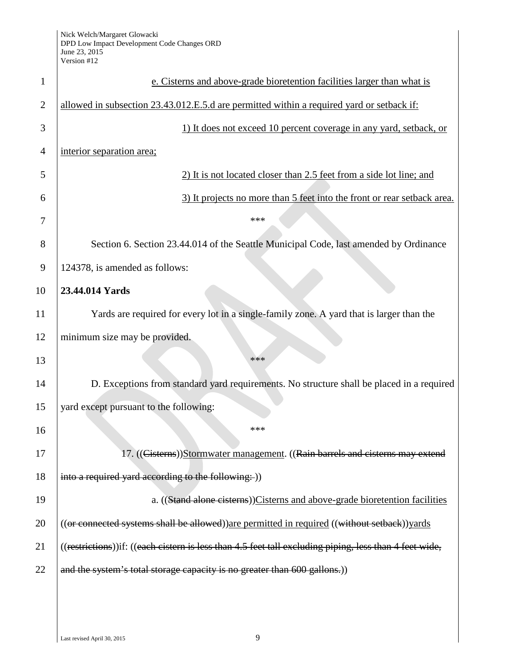| 1              | e. Cisterns and above-grade bioretention facilities larger than what is                                |
|----------------|--------------------------------------------------------------------------------------------------------|
| $\overline{2}$ | allowed in subsection 23.43.012.E.5.d are permitted within a required yard or setback if:              |
| 3              | 1) It does not exceed 10 percent coverage in any yard, setback, or                                     |
| $\overline{4}$ | interior separation area;                                                                              |
| 5              | 2) It is not located closer than 2.5 feet from a side lot line; and                                    |
| 6              | 3) It projects no more than 5 feet into the front or rear setback area.                                |
| 7              | ***                                                                                                    |
| 8              | Section 6. Section 23.44.014 of the Seattle Municipal Code, last amended by Ordinance                  |
| 9              | 124378, is amended as follows:                                                                         |
| 10             | 23.44.014 Yards                                                                                        |
| 11             | Yards are required for every lot in a single-family zone. A yard that is larger than the               |
| 12             | minimum size may be provided.                                                                          |
| 13             | ***                                                                                                    |
| 14             | D. Exceptions from standard yard requirements. No structure shall be placed in a required              |
| 15             | yard except pursuant to the following:                                                                 |
| 16             | ***                                                                                                    |
| 17             | 17. ((Cisterns))Stormwater management. ((Rain barrels and cisterns may extend                          |
| 18             | into a required yard according to the following: ))                                                    |
| 19             | a. ((Stand alone cisterns))Cisterns and above-grade bioretention facilities                            |
| 20             | ((or connected systems shall be allowed)) are permitted in required ((without setback)) yards          |
| 21             | ((restrictions))if: ((each cistern is less than 4.5 feet tall excluding piping, less than 4 feet wide, |
| 22             | and the system's total storage capacity is no greater than 600 gallons.)                               |
|                |                                                                                                        |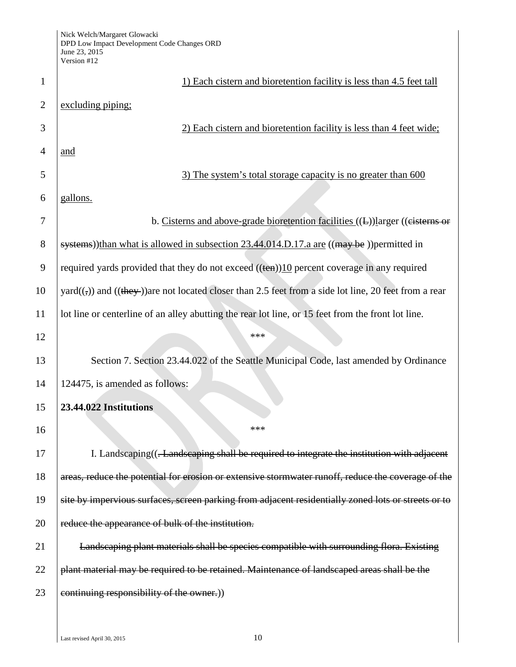| 1              | 1) Each cistern and bioretention facility is less than 4.5 feet tall                                                             |
|----------------|----------------------------------------------------------------------------------------------------------------------------------|
| $\overline{2}$ | excluding piping;                                                                                                                |
| 3              | 2) Each cistern and bioretention facility is less than 4 feet wide;                                                              |
| 4              | and                                                                                                                              |
| 5              | 3) The system's total storage capacity is no greater than 600                                                                    |
| 6              | gallons.                                                                                                                         |
| 7              | b. Cisterns and above-grade bioretention facilities ((L))larger ((cisterns or                                                    |
| 8              | systems))than what is allowed in subsection 23.44.014.D.17.a are ((may be))permitted in                                          |
| 9              | required yards provided that they do not exceed $((\text{ten}))10$ percent coverage in any required                              |
| 10             | $\text{yard}((\frac{1}{2}))$ and $((\frac{1}{2})$ are not located closer than 2.5 feet from a side lot line, 20 feet from a rear |
| 11             | lot line or centerline of an alley abutting the rear lot line, or 15 feet from the front lot line.                               |
| 12             | ***                                                                                                                              |
| 13             | Section 7. Section 23.44.022 of the Seattle Municipal Code, last amended by Ordinance                                            |
| 14             | 124475, is amended as follows:                                                                                                   |
| 15             | 23.44.022 Institutions                                                                                                           |
| 16             | ***                                                                                                                              |
| 17             | I. Landscaping((-Landscaping shall be required to integrate the institution with adjacent                                        |
| 18             | areas, reduce the potential for erosion or extensive stormwater runoff, reduce the coverage of the                               |
| 19             | site by impervious surfaces, screen parking from adjacent residentially zoned lots or streets or to                              |
| 20             | reduce the appearance of bulk of the institution.                                                                                |
| 21             | Landscaping plant materials shall be species compatible with surrounding flora. Existing                                         |
| 22             | plant material may be required to be retained. Maintenance of landscaped areas shall be the                                      |
| 23             | continuing responsibility of the owner.))                                                                                        |
|                |                                                                                                                                  |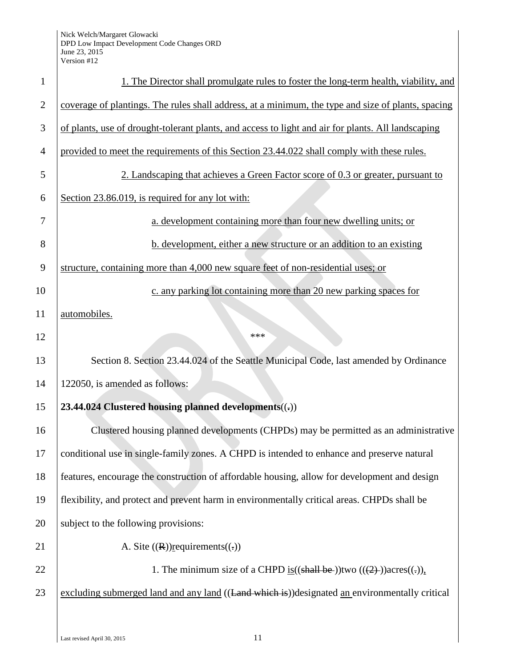| 1              | 1. The Director shall promulgate rules to foster the long-term health, viability, and              |
|----------------|----------------------------------------------------------------------------------------------------|
| $\overline{2}$ | coverage of plantings. The rules shall address, at a minimum, the type and size of plants, spacing |
| 3              | of plants, use of drought-tolerant plants, and access to light and air for plants. All landscaping |
| 4              | provided to meet the requirements of this Section 23.44.022 shall comply with these rules.         |
| 5              | 2. Landscaping that achieves a Green Factor score of 0.3 or greater, pursuant to                   |
| 6              | Section 23.86.019, is required for any lot with:                                                   |
| 7              | a. development containing more than four new dwelling units; or                                    |
| 8              | b. development, either a new structure or an addition to an existing                               |
| 9              | structure, containing more than 4,000 new square feet of non-residential uses; or                  |
| 10             | c. any parking lot containing more than 20 new parking spaces for                                  |
| 11             | automobiles.                                                                                       |
| 12             | ***                                                                                                |
| 13             | Section 8. Section 23.44.024 of the Seattle Municipal Code, last amended by Ordinance              |
| 14             | 122050, is amended as follows:                                                                     |
| 15             | 23.44.024 Clustered housing planned developments((,))                                              |
| 16             | Clustered housing planned developments (CHPDs) may be permitted as an administrative               |
| 17             | conditional use in single-family zones. A CHPD is intended to enhance and preserve natural         |
| 18             | features, encourage the construction of affordable housing, allow for development and design       |
| 19             | flexibility, and protect and prevent harm in environmentally critical areas. CHPDs shall be        |
| 20             | subject to the following provisions:                                                               |
| 21             | A. Site $((R))$ requirements $((.)$                                                                |
| 22             | 1. The minimum size of a CHPD is $((\text{shall be}))$ two $((2))$ acres $((.)$ ,                  |
| 23             | excluding submerged land and any land ((Land which is))designated an environmentally critical      |
|                |                                                                                                    |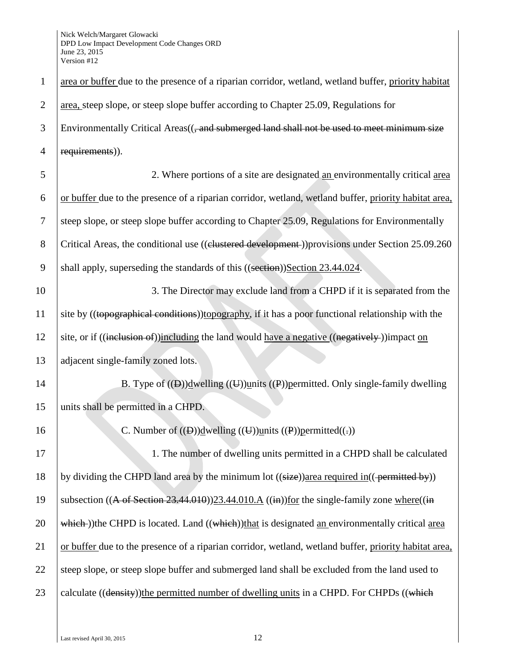| $\mathbf{1}$   | area or buffer due to the presence of a riparian corridor, wetland, wetland buffer, priority habitat                        |
|----------------|-----------------------------------------------------------------------------------------------------------------------------|
| $\overline{2}$ | area, steep slope, or steep slope buffer according to Chapter 25.09, Regulations for                                        |
| 3              | Environmentally Critical Areas(( <del>, and submerged land shall not be used to meet minimum size</del>                     |
| $\overline{4}$ | requirements)).                                                                                                             |
| 5              | 2. Where portions of a site are designated an environmentally critical area                                                 |
| 6              | or buffer due to the presence of a riparian corridor, wetland, wetland buffer, priority habitat area,                       |
| 7              | steep slope, or steep slope buffer according to Chapter 25.09, Regulations for Environmentally                              |
| 8              | Critical Areas, the conditional use ((clustered development)) provisions under Section 25.09.260                            |
| 9              | shall apply, superseding the standards of this ((section))Section 23.44.024.                                                |
| 10             | 3. The Director may exclude land from a CHPD if it is separated from the                                                    |
| 11             | site by ((topographical conditions)) topography, if it has a poor functional relationship with the                          |
| 12             | site, or if ((inclusion of))including the land would have a negative ((negatively-))impact on                               |
| 13             | adjacent single-family zoned lots.                                                                                          |
| 14             | B. Type of $((\theta))$ dwelling $((\theta))$ units $((\theta))$ permitted. Only single-family dwelling                     |
| 15             | units shall be permitted in a CHPD.                                                                                         |
| 16             | C. Number of $((\theta))$ dwelling $((\theta))$ units $((P))$ permitted $((\cdot))$                                         |
| 17             | 1. The number of dwelling units permitted in a CHPD shall be calculated                                                     |
| 18             | by dividing the CHPD land area by the minimum lot ((size))area required in((permitted by))                                  |
| 19             | subsection $((A \text{ of Section 23.44.010}))$ 23.44.010.A $((\text{in}))$ for the single-family zone where $((\text{in})$ |
| 20             | which-)) the CHPD is located. Land ((which)) that is designated an environmentally critical area                            |
| 21             | or buffer due to the presence of a riparian corridor, wetland, wetland buffer, priority habitat area,                       |
| 22             | steep slope, or steep slope buffer and submerged land shall be excluded from the land used to                               |
| 23             | calculate ((density)) the permitted number of dwelling units in a CHPD. For CHPDs ((which                                   |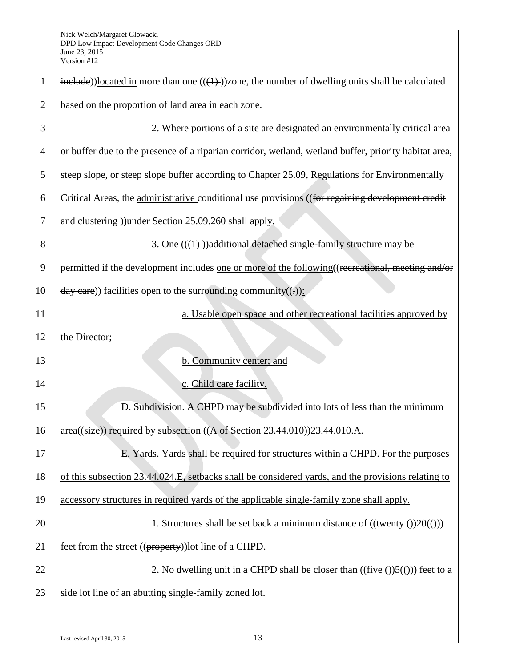| $\mathbf{1}$   | $\frac{\text{include}}{\text{include}}$ ))located in more than one (( $\left(\frac{1}{2}\right)$ ))zone, the number of dwelling units shall be calculated |
|----------------|-----------------------------------------------------------------------------------------------------------------------------------------------------------|
|                |                                                                                                                                                           |
| $\overline{2}$ | based on the proportion of land area in each zone.                                                                                                        |
| 3              | 2. Where portions of a site are designated an environmentally critical area                                                                               |
| $\overline{4}$ | or buffer due to the presence of a riparian corridor, wetland, wetland buffer, priority habitat area,                                                     |
| 5              | steep slope, or steep slope buffer according to Chapter 25.09, Regulations for Environmentally                                                            |
| 6              | Critical Areas, the administrative conditional use provisions ((for regaining development credit                                                          |
| 7              | and clustering )) under Section 25.09.260 shall apply.                                                                                                    |
| 8              | 3. One $((\text{+)})$ additional detached single-family structure may be                                                                                  |
| 9              | permitted if the development includes one or more of the following ((recreational, meeting and/or                                                         |
| 10             | $\frac{day \text{ care}}{x}$ ) facilities open to the surrounding community((-)):                                                                         |
| 11             | a. Usable open space and other recreational facilities approved by                                                                                        |
| 12             | the Director;                                                                                                                                             |
| 13             | b. Community center; and                                                                                                                                  |
| 14             | c. Child care facility.                                                                                                                                   |
| 15             | D. Subdivision. A CHPD may be subdivided into lots of less than the minimum                                                                               |
| 16             | $area((size))$ required by subsection $((A \text{ of Section 23.44.010}))23.44.010.A$ .                                                                   |
| 17             | E. Yards. Yards shall be required for structures within a CHPD. For the purposes                                                                          |
| 18             | of this subsection 23.44.024.E, setbacks shall be considered yards, and the provisions relating to                                                        |
| 19             | accessory structures in required yards of the applicable single-family zone shall apply.                                                                  |
| 20             | 1. Structures shall be set back a minimum distance of $((\text{twenty-}())20(\text{t}))$                                                                  |
| 21             | feet from the street ((property)) lot line of a CHPD.                                                                                                     |
| 22             | 2. No dwelling unit in a CHPD shall be closer than $((\text{five} (+))5(())$ feet to a                                                                    |
| 23             | side lot line of an abutting single-family zoned lot.                                                                                                     |
|                |                                                                                                                                                           |
|                |                                                                                                                                                           |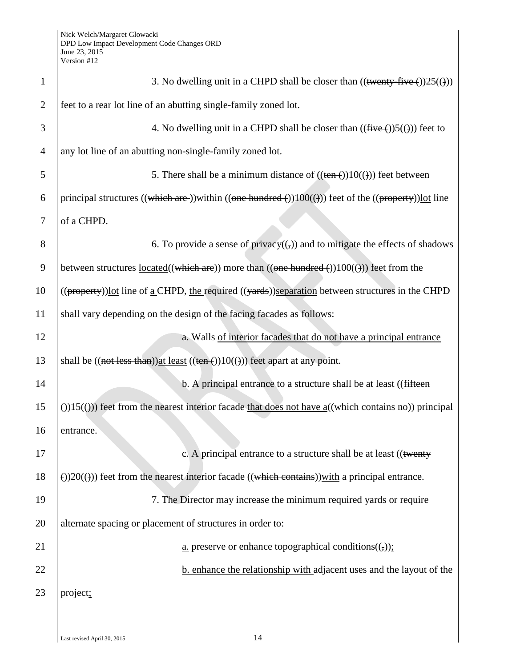| $\mathbf{1}$   | 3. No dwelling unit in a CHPD shall be closer than $((\text{twenty-five}())25(\theta))$                        |
|----------------|----------------------------------------------------------------------------------------------------------------|
| $\overline{2}$ | feet to a rear lot line of an abutting single-family zoned lot.                                                |
| 3              | 4. No dwelling unit in a CHPD shall be closer than $((\text{five} (+))5(())$ feet to                           |
| $\overline{4}$ | any lot line of an abutting non-single-family zoned lot.                                                       |
| 5              | 5. There shall be a minimum distance of $((\text{ten}(-))10((\cdot)))$ feet between                            |
| 6              | principal structures ((which are )) within ((one hundred $()$ ) 100( $()$ )) feet of the ((property)) lot line |
| 7              | of a CHPD.                                                                                                     |
| 8              | 6. To provide a sense of privacy $((,))$ and to mitigate the effects of shadows                                |
| 9              | between structures $located((which are)) more than ((one hundred()))100(())) feet from the$                    |
| 10             | ((property))lot line of a CHPD, the required ((yards))separation between structures in the CHPD                |
| 11             | shall vary depending on the design of the facing facades as follows:                                           |
| 12             | a. Walls of interior facades that do not have a principal entrance                                             |
| 13             | shall be $((not less than))$ at least $((ten-))10(())$ feet apart at any point.                                |
| 14             | b. A principal entrance to a structure shall be at least ((fifteen                                             |
| 15             | (i)15((j)) feet from the nearest interior facade that does not have $a(($ which contains no)) principal        |
| 16             | entrance.                                                                                                      |
| 17             | c. A principal entrance to a structure shall be at least ((twenty)                                             |
| 18             | $\Theta$ )20( $\Theta$ )) feet from the nearest interior facade ((which contains))with a principal entrance.   |
| 19             | 7. The Director may increase the minimum required yards or require                                             |
| 20             | alternate spacing or placement of structures in order to:                                                      |
| 21             | <u>a.</u> preserve or enhance topographical conditions( $\left(\frac{1}{2}\right)$ );                          |
| 22             | b. enhance the relationship with adjacent uses and the layout of the                                           |
| 23             | project;                                                                                                       |
|                |                                                                                                                |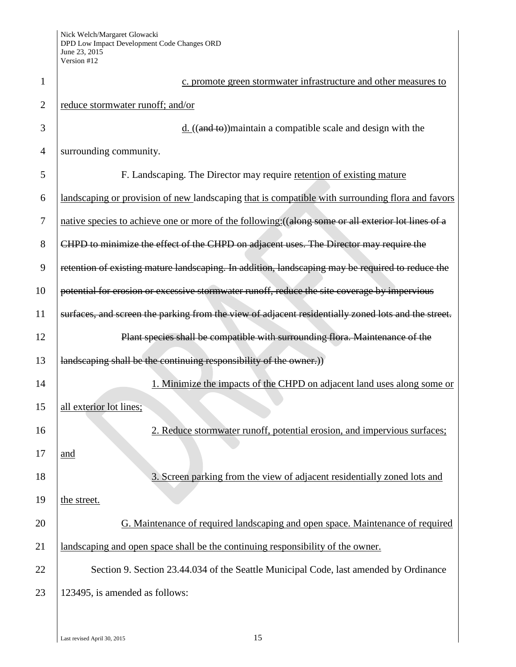| 1              | c. promote green stormwater infrastructure and other measures to                                    |
|----------------|-----------------------------------------------------------------------------------------------------|
| $\overline{2}$ | reduce stormwater runoff; and/or                                                                    |
| 3              | $d.$ ((and to)) maintain a compatible scale and design with the                                     |
| 4              | surrounding community.                                                                              |
| 5              | F. Landscaping. The Director may require retention of existing mature                               |
| 6              | landscaping or provision of new landscaping that is compatible with surrounding flora and favors    |
| 7              | native species to achieve one or more of the following: ((along some or all exterior lot lines of a |
| 8              | CHPD to minimize the effect of the CHPD on adjacent uses. The Director may require the              |
| 9              | retention of existing mature landscaping. In addition, landscaping may be required to reduce the    |
| 10             | potential for erosion or excessive stormwater runoff, reduce the site coverage by impervious        |
| 11             | surfaces, and screen the parking from the view of adjacent residentially zoned lots and the street. |
| 12             | Plant species shall be compatible with surrounding flora. Maintenance of the                        |
| 13             | landscaping shall be the continuing responsibility of the owner.)                                   |
| 14             | 1. Minimize the impacts of the CHPD on adjacent land uses along some or                             |
| 15             | all exterior lot lines;                                                                             |
| 16             | 2. Reduce stormwater runoff, potential erosion, and impervious surfaces;                            |
| 17             | and                                                                                                 |
| 18             | 3. Screen parking from the view of adjacent residentially zoned lots and                            |
| 19             | the street.                                                                                         |
| 20             | G. Maintenance of required landscaping and open space. Maintenance of required                      |
| 21             | landscaping and open space shall be the continuing responsibility of the owner.                     |
| 22             | Section 9. Section 23.44.034 of the Seattle Municipal Code, last amended by Ordinance               |
| 23             | 123495, is amended as follows:                                                                      |
|                |                                                                                                     |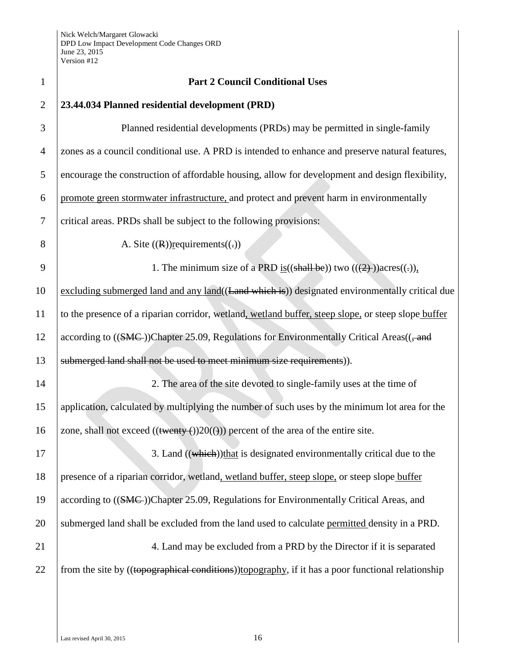| $\mathbf{1}$   | <b>Part 2 Council Conditional Uses</b>                                                              |
|----------------|-----------------------------------------------------------------------------------------------------|
| $\mathbf{2}$   | 23.44.034 Planned residential development (PRD)                                                     |
| 3              | Planned residential developments (PRDs) may be permitted in single-family                           |
| $\overline{4}$ | zones as a council conditional use. A PRD is intended to enhance and preserve natural features,     |
| 5              | encourage the construction of affordable housing, allow for development and design flexibility,     |
| 6              | promote green stormwater infrastructure, and protect and prevent harm in environmentally            |
| 7              | critical areas. PRDs shall be subject to the following provisions:                                  |
| 8              | A. Site $((R))$ requirements $((.)$                                                                 |
| 9              | 1. The minimum size of a PRD is $((\text{shall be}))$ two $((2))$ acres $((.)$ ,                    |
| 10             | excluding submerged land and any land((Land which is)) designated environmentally critical due      |
| 11             | to the presence of a riparian corridor, wetland, wetland buffer, steep slope, or steep slope buffer |
| 12             | according to ((SMC))Chapter 25.09, Regulations for Environmentally Critical Areas((, and            |
| 13             | submerged land shall not be used to meet minimum size requirements)).                               |
| 14             | 2. The area of the site devoted to single-family uses at the time of                                |
| 15             | application, calculated by multiplying the number of such uses by the minimum lot area for the      |
| 16             | zone, shall not exceed $((\text{twenty}(\cdot))20(())$ percent of the area of the entire site.      |
| 17             | 3. Land ((which)) that is designated environmentally critical due to the                            |
| 18             | presence of a riparian corridor, wetland, wetland buffer, steep slope, or steep slope buffer        |
| 19             | according to ((SMC))Chapter 25.09, Regulations for Environmentally Critical Areas, and              |
| 20             | submerged land shall be excluded from the land used to calculate permitted density in a PRD.        |
| 21             | 4. Land may be excluded from a PRD by the Director if it is separated                               |
| 22             | from the site by ((topographical conditions))topography, if it has a poor functional relationship   |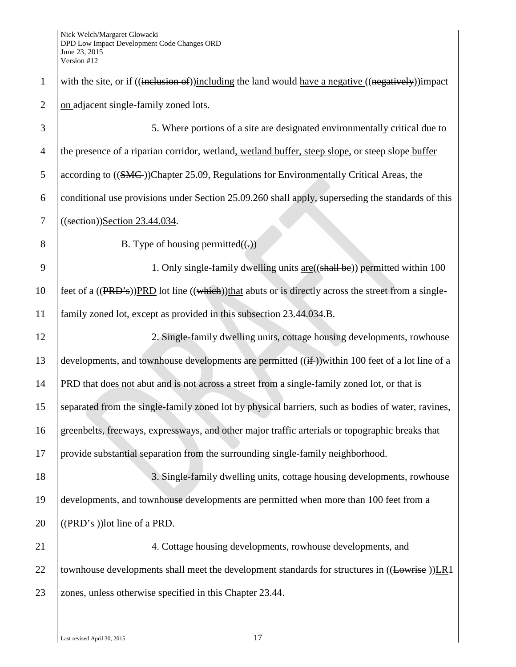1 with the site, or if ((inclusion of))including the land would have a negative ((negatively))impact 2 on adjacent single-family zoned lots. 3 5. Where portions of a site are designated environmentally critical due to 4 the presence of a riparian corridor, wetland, wetland buffer, steep slope, or steep slope buffer 5 according to ((SMC))Chapter 25.09, Regulations for Environmentally Critical Areas, the 6 conditional use provisions under Section 25.09.260 shall apply, superseding the standards of this 7 ((section))Section 23.44.034. 8 B. Type of housing permitted $((.)$ 9 1. Only single-family dwelling units <u>are</u>((shall be)) permitted within 100 10 feet of a  $((PRD<sup>2</sup>s))$ PRD lot line  $((which)$ that abuts or is directly across the street from a single-11 family zoned lot, except as provided in this subsection 23.44.034.B. 12 2. Single-family dwelling units, cottage housing developments, rowhouse 13 developments, and townhouse developments are permitted  $((\text{if}$ )within 100 feet of a lot line of a 14 PRD that does not abut and is not across a street from a single-family zoned lot, or that is 15 separated from the single-family zoned lot by physical barriers, such as bodies of water, ravines, 16 greenbelts, freeways, expressways, and other major traffic arterials or topographic breaks that 17 provide substantial separation from the surrounding single-family neighborhood. 18 3. Single-family dwelling units, cottage housing developments, rowhouse 19 developments, and townhouse developments are permitted when more than 100 feet from a 20  $\left($  ((PRD's))lot line of a PRD. 21 4. Cottage housing developments, rowhouse developments, and 22 | townhouse developments shall meet the development standards for structures in  $((Lowrise))LR1$ 23 zones, unless otherwise specified in this Chapter 23.44.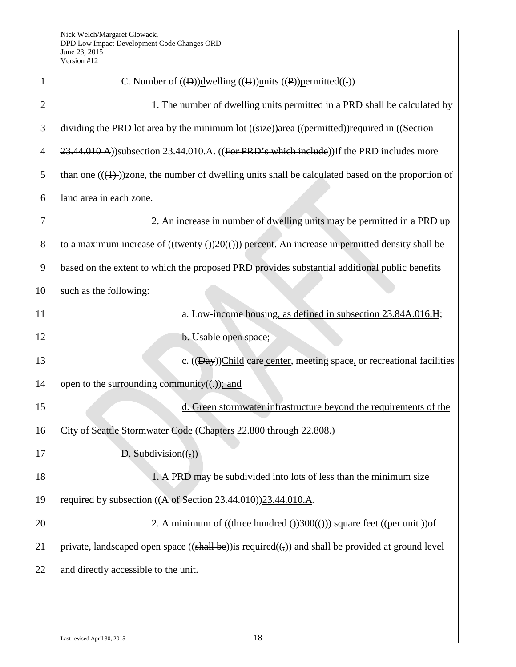| $\mathbf{1}$   | C. Number of $((\theta))\underline{d}$ welling $((\theta))\underline{u}$ nits $((\theta))\underline{p}$ ermitted $((\theta))$ |
|----------------|-------------------------------------------------------------------------------------------------------------------------------|
| $\overline{2}$ | 1. The number of dwelling units permitted in a PRD shall be calculated by                                                     |
| 3              | dividing the PRD lot area by the minimum lot ((size))area ((permitted))required in ((Section                                  |
| $\overline{4}$ | 23.44.010 A))subsection 23.44.010.A. ((For PRD's which include)) If the PRD includes more                                     |
| 5              | than one $((1+))$ zone, the number of dwelling units shall be calculated based on the proportion of                           |
| 6              | land area in each zone.                                                                                                       |
| 7              | 2. An increase in number of dwelling units may be permitted in a PRD up                                                       |
| 8              | to a maximum increase of $((\text{twenty-}))20(())$ percent. An increase in permitted density shall be                        |
| 9              | based on the extent to which the proposed PRD provides substantial additional public benefits                                 |
| 10             | such as the following:                                                                                                        |
| 11             | a. Low-income housing, as defined in subsection 23.84A.016.H;                                                                 |
| 12             | b. Usable open space;                                                                                                         |
| 13             | c. $((\underline{Day}))$ Child care center, meeting space, or recreational facilities                                         |
| 14             | open to the surrounding community( $(.))$ ; and                                                                               |
| 15             | d. Green stormwater infrastructure beyond the requirements of the                                                             |
| 16             | City of Seattle Stormwater Code (Chapters 22.800 through 22.808.)                                                             |
| 17             | D. Subdivision( $\left(\frac{1}{2}\right)$ )                                                                                  |
| 18             | 1. A PRD may be subdivided into lots of less than the minimum size                                                            |
| 19             | required by subsection $((A \text{ of Section 23.44.010}))$ 23.44.010.A.                                                      |
| 20             | 2. A minimum of $((three hundred-))300(())$ square feet $((per unit))$ of                                                     |
| 21             | private, landscaped open space $((\text{shall be}))$ is required $((,))$ and shall be provided at ground level                |
| 22             | and directly accessible to the unit.                                                                                          |
|                |                                                                                                                               |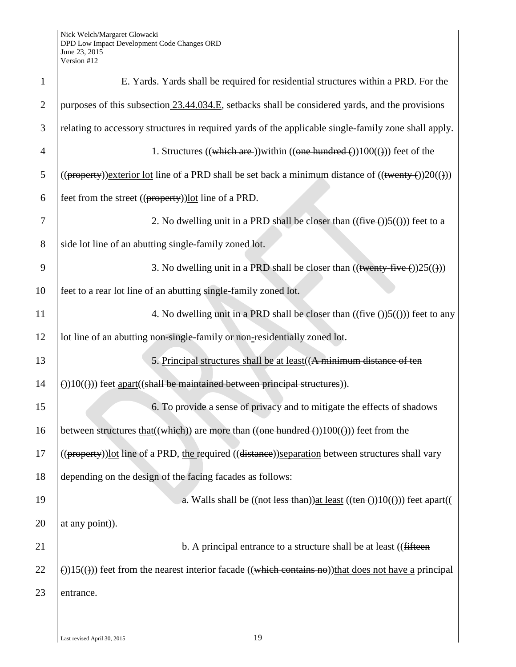| $\mathbf{1}$   | E. Yards. Yards shall be required for residential structures within a PRD. For the                                   |
|----------------|----------------------------------------------------------------------------------------------------------------------|
| $\overline{2}$ | purposes of this subsection 23.44.034.E, setbacks shall be considered yards, and the provisions                      |
| 3              | relating to accessory structures in required yards of the applicable single-family zone shall apply.                 |
| $\overline{4}$ | 1. Structures ((which are )) within ((one hundred $\epsilon$ )) 100(())) feet of the                                 |
| 5              | $((\text{property}))$ exterior lot line of a PRD shall be set back a minimum distance of $((\text{twenty ())20(()))$ |
| 6              | feet from the street $((\text{property}))$ <u>lot</u> line of a PRD.                                                 |
| $\overline{7}$ | 2. No dwelling unit in a PRD shall be closer than $((\text{five} (+))5(())$ feet to a                                |
| 8              | side lot line of an abutting single-family zoned lot.                                                                |
| 9              | 3. No dwelling unit in a PRD shall be closer than $((\text{twenty-five}())25(\theta))$                               |
| 10             | feet to a rear lot line of an abutting single-family zoned lot.                                                      |
| 11             | 4. No dwelling unit in a PRD shall be closer than $((\text{five} (+))5(())$ feet to any                              |
| 12             | lot line of an abutting non-single-family or non-residentially zoned lot.                                            |
| 13             | 5. Principal structures shall be at least ((A minimum distance of ten                                                |
| 14             | $(1)(1)(1)(1)$ feet apart((shall be maintained between principal structures)).                                       |
| 15             | 6. To provide a sense of privacy and to mitigate the effects of shadows                                              |
| 16             | between structures $\text{that}((\text{which}))$ are more than $((\text{one hundred}())100(()))$ feet from the       |
| 17             | ((property)) lot line of a PRD, the required ((distance)) separation between structures shall vary                   |
| 18             | depending on the design of the facing facades as follows:                                                            |
| 19             | a. Walls shall be $((not less than))$ at least $((ten ())10(())$ feet apart((                                        |
| 20             | at any point).                                                                                                       |
| 21             | b. A principal entrance to a structure shall be at least ((fifteen)                                                  |
| 22             | $\Theta(15(\theta))$ feet from the nearest interior facade ((which contains no)) that does not have a principal      |
| 23             | entrance.                                                                                                            |
|                |                                                                                                                      |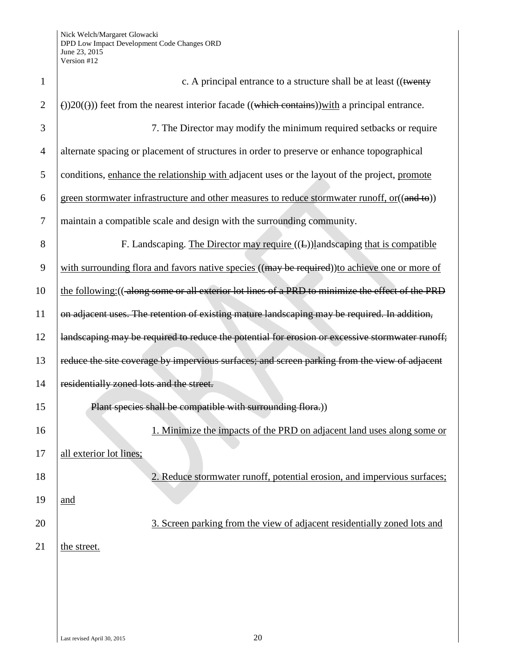| $\mathbf{1}$   | c. A principal entrance to a structure shall be at least ((twenty                                             |
|----------------|---------------------------------------------------------------------------------------------------------------|
| $\overline{2}$ | $\Theta$ )20( $\Theta$ )) feet from the nearest interior facade ((which contains)) with a principal entrance. |
| 3              | 7. The Director may modify the minimum required setbacks or require                                           |
| $\overline{4}$ | alternate spacing or placement of structures in order to preserve or enhance topographical                    |
| 5              | conditions, enhance the relationship with adjacent uses or the layout of the project, promote                 |
| 6              | green stormwater infrastructure and other measures to reduce stormwater runoff, or ((and to))                 |
| $\tau$         | maintain a compatible scale and design with the surrounding community.                                        |
| 8              | F. Landscaping. The Director may require $((E))$ landscaping that is compatible                               |
| 9              | with surrounding flora and favors native species ((may be required)) to achieve one or more of                |
| 10             | the following: ((along some or all exterior lot lines of a PRD to minimize the effect of the PRD              |
| 11             | on adjacent uses. The retention of existing mature landscaping may be required. In addition,                  |
| 12             | landscaping may be required to reduce the potential for erosion or excessive stormwater runoff;               |
| 13             | reduce the site coverage by impervious surfaces; and screen parking from the view of adjacent                 |
| 14             | residentially zoned lots and the street.                                                                      |
| 15             | Plant species shall be compatible with surrounding flora.))                                                   |
| 16             | 1. Minimize the impacts of the PRD on adjacent land uses along some or                                        |
| 17             | all exterior lot lines;                                                                                       |
| 18             | 2. Reduce stormwater runoff, potential erosion, and impervious surfaces;                                      |
| 19             | and                                                                                                           |
| 20             | 3. Screen parking from the view of adjacent residentially zoned lots and                                      |
| 21             | the street.                                                                                                   |
|                |                                                                                                               |
|                |                                                                                                               |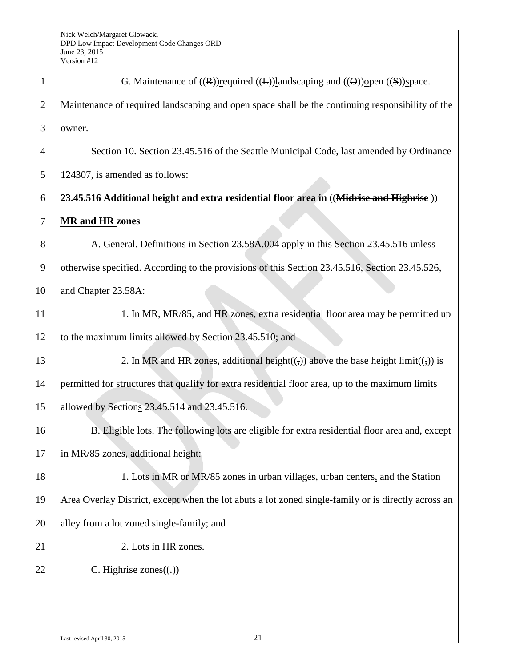| $\mathbf{1}$   | G. Maintenance of $((R))$ required $((L))$ landscaping and $((\Theta))$ open $((S))$ space.                   |
|----------------|---------------------------------------------------------------------------------------------------------------|
| $\overline{2}$ | Maintenance of required landscaping and open space shall be the continuing responsibility of the              |
| 3              | owner.                                                                                                        |
| $\overline{4}$ | Section 10. Section 23.45.516 of the Seattle Municipal Code, last amended by Ordinance                        |
| 5              | 124307, is amended as follows:                                                                                |
| 6              | 23.45.516 Additional height and extra residential floor area in ((Midrise and Highrise))                      |
| 7              | <b>MR</b> and HR zones                                                                                        |
| 8              | A. General. Definitions in Section 23.58A.004 apply in this Section 23.45.516 unless                          |
| 9              | otherwise specified. According to the provisions of this Section 23.45.516, Section 23.45.526,                |
| 10             | and Chapter 23.58A:                                                                                           |
| 11             | 1. In MR, MR/85, and HR zones, extra residential floor area may be permitted up                               |
| 12             | to the maximum limits allowed by Section 23.45.510; and                                                       |
| 13             | 2. In MR and HR zones, additional height( $(\frac{1}{2})$ ) above the base height limit( $(\frac{1}{2})$ ) is |
| 14             | permitted for structures that qualify for extra residential floor area, up to the maximum limits              |
| 15             | allowed by Sections 23.45.514 and 23.45.516.                                                                  |
| 16             | B. Eligible lots. The following lots are eligible for extra residential floor area and, except                |
| 17             | in MR/85 zones, additional height:                                                                            |
| 18             | 1. Lots in MR or MR/85 zones in urban villages, urban centers, and the Station                                |
| 19             | Area Overlay District, except when the lot abuts a lot zoned single-family or is directly across an           |
| 20             | alley from a lot zoned single-family; and                                                                     |
| 21             | 2. Lots in HR zones.                                                                                          |
| 22             | C. Highrise zones $((.)$                                                                                      |
|                |                                                                                                               |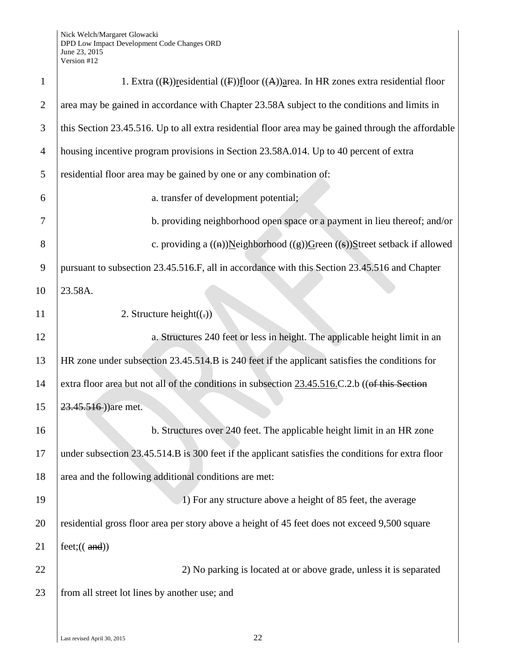| $\mathbf{1}$   | 1. Extra $((R))$ residential $((F))$ floor $((A))$ area. In HR zones extra residential floor        |
|----------------|-----------------------------------------------------------------------------------------------------|
| $\overline{2}$ | area may be gained in accordance with Chapter 23.58A subject to the conditions and limits in        |
| 3              | this Section 23.45.516. Up to all extra residential floor area may be gained through the affordable |
| $\overline{4}$ | housing incentive program provisions in Section 23.58A.014. Up to 40 percent of extra               |
| 5              | residential floor area may be gained by one or any combination of:                                  |
| 6              | a. transfer of development potential;                                                               |
| 7              | b. providing neighborhood open space or a payment in lieu thereof; and/or                           |
| 8              | c. providing a $((a))$ Neighborhood $((g))$ Green $((s))$ Street setback if allowed                 |
| 9              | pursuant to subsection 23.45.516.F, all in accordance with this Section 23.45.516 and Chapter       |
| 10             | 23.58A.                                                                                             |
| 11             | 2. Structure height $((.)$                                                                          |
| 12             | a. Structures 240 feet or less in height. The applicable height limit in an                         |
| 13             | HR zone under subsection 23.45.514.B is 240 feet if the applicant satisfies the conditions for      |
| 14             | extra floor area but not all of the conditions in subsection 23.45.516.C.2.b ((of this Section      |
| 15             | 23.45.516)) are met.                                                                                |
| 16             | b. Structures over 240 feet. The applicable height limit in an HR zone                              |
| 17             | under subsection 23.45.514.B is 300 feet if the applicant satisfies the conditions for extra floor  |
| 18             | area and the following additional conditions are met:                                               |
| 19             | 1) For any structure above a height of 85 feet, the average                                         |
| 20             | residential gross floor area per story above a height of 45 feet does not exceed 9,500 square       |
| 21             | feet: (( and))                                                                                      |
| 22             | 2) No parking is located at or above grade, unless it is separated                                  |
| 23             | from all street lot lines by another use; and                                                       |
|                |                                                                                                     |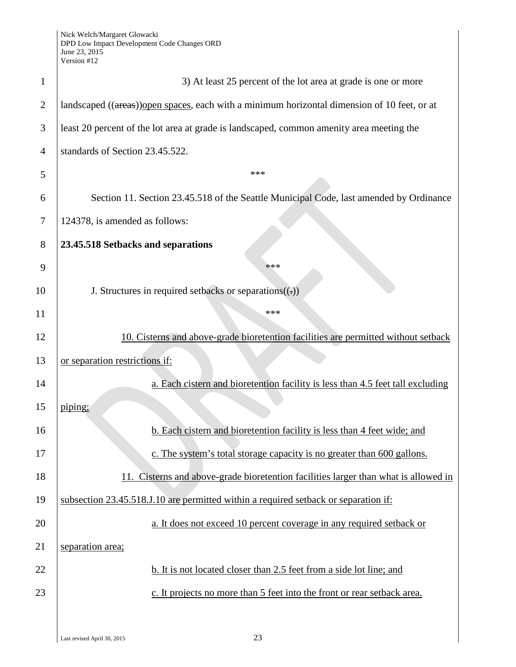Nick Welch/Margaret Glowacki DPD Low Impact Development Code Changes ORD June 23, 2015 Version #12

| $\mathbf{1}$   | 3) At least 25 percent of the lot area at grade is one or more                               |
|----------------|----------------------------------------------------------------------------------------------|
| $\overline{2}$ | landscaped ((areas)) open spaces, each with a minimum horizontal dimension of 10 feet, or at |
| 3              | least 20 percent of the lot area at grade is landscaped, common amenity area meeting the     |
| 4              | standards of Section 23.45.522.                                                              |
| 5              | ***                                                                                          |
| 6              | Section 11. Section 23.45.518 of the Seattle Municipal Code, last amended by Ordinance       |
| 7              | 124378, is amended as follows:                                                               |
| 8              | 23.45.518 Setbacks and separations                                                           |
| 9              | ***                                                                                          |
| 10             | J. Structures in required setbacks or separations $((.)$                                     |
| 11             | ***                                                                                          |
| 12             | 10. Cisterns and above-grade bioretention facilities are permitted without setback           |
| 13             | or separation restrictions if:                                                               |
| 14             | a. Each cistern and bioretention facility is less than 4.5 feet tall excluding               |
| 15             | piping;                                                                                      |
| 16             | b. Each cistern and bioretention facility is less than 4 feet wide; and                      |
| 17             | c. The system's total storage capacity is no greater than 600 gallons.                       |
| 18             | 11. Cisterns and above-grade bioretention facilities larger than what is allowed in          |
| 19             | subsection 23.45.518.J.10 are permitted within a required setback or separation if:          |
| 20             | a. It does not exceed 10 percent coverage in any required setback or                         |
| 21             | separation area;                                                                             |
| 22             | b. It is not located closer than 2.5 feet from a side lot line; and                          |
| 23             | c. It projects no more than 5 feet into the front or rear setback area.                      |
|                |                                                                                              |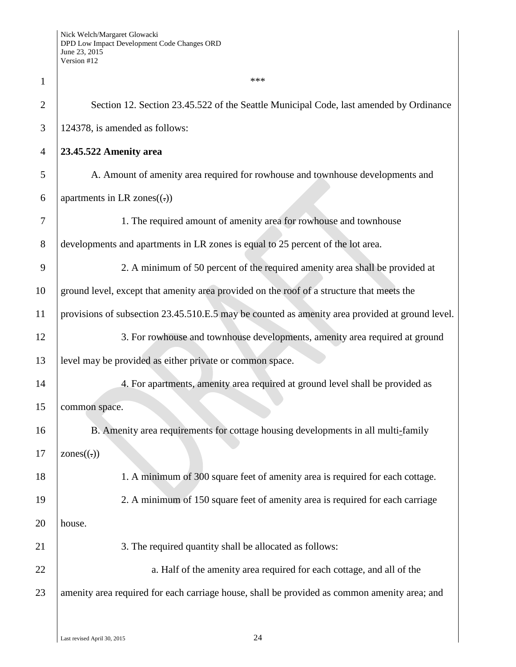| $\mathbf{1}$   | ***                                                                                             |
|----------------|-------------------------------------------------------------------------------------------------|
| $\overline{2}$ | Section 12. Section 23.45.522 of the Seattle Municipal Code, last amended by Ordinance          |
| 3              | 124378, is amended as follows:                                                                  |
| $\overline{4}$ | 23.45.522 Amenity area                                                                          |
| 5              | A. Amount of amenity area required for rowhouse and townhouse developments and                  |
| 6              | apartments in LR zones $((.)$                                                                   |
| 7              | 1. The required amount of amenity area for rowhouse and townhouse                               |
| 8              | developments and apartments in LR zones is equal to 25 percent of the lot area.                 |
| 9              | 2. A minimum of 50 percent of the required amenity area shall be provided at                    |
| 10             | ground level, except that amenity area provided on the roof of a structure that meets the       |
| 11             | provisions of subsection 23.45.510.E.5 may be counted as amenity area provided at ground level. |
| 12             | 3. For rowhouse and townhouse developments, amenity area required at ground                     |
| 13             | level may be provided as either private or common space.                                        |
| 14             | 4. For apartments, amenity area required at ground level shall be provided as                   |
| 15             | common space.                                                                                   |
| 16             | B. Amenity area requirements for cottage housing developments in all multi-family               |
| 17             | $\text{ zones}(\cdot)$                                                                          |
| 18             | 1. A minimum of 300 square feet of amenity area is required for each cottage.                   |
| 19             | 2. A minimum of 150 square feet of amenity area is required for each carriage                   |
| 20             | house.                                                                                          |
| 21             | 3. The required quantity shall be allocated as follows:                                         |
| 22             | a. Half of the amenity area required for each cottage, and all of the                           |
| 23             | amenity area required for each carriage house, shall be provided as common amenity area; and    |
|                |                                                                                                 |

 $\overline{\phantom{a}}$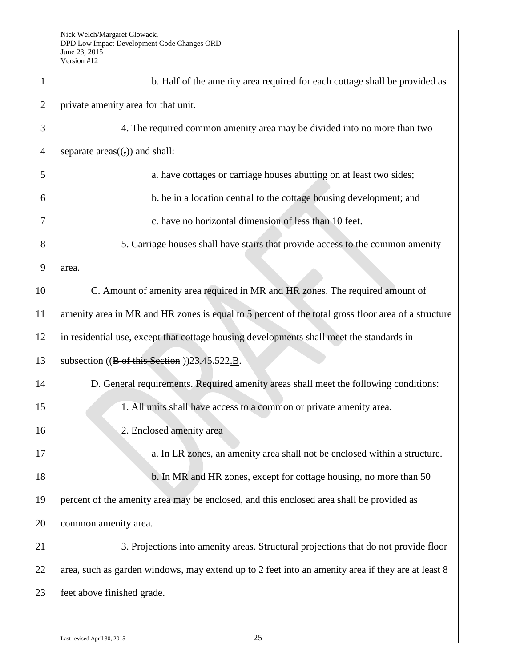| $\mathbf{1}$   | b. Half of the amenity area required for each cottage shall be provided as                         |
|----------------|----------------------------------------------------------------------------------------------------|
| $\overline{2}$ | private amenity area for that unit.                                                                |
| 3              | 4. The required common amenity area may be divided into no more than two                           |
| $\overline{4}$ | separate $area((,))$ and shall:                                                                    |
| 5              | a. have cottages or carriage houses abutting on at least two sides;                                |
| 6              | b. be in a location central to the cottage housing development; and                                |
| 7              | c. have no horizontal dimension of less than 10 feet.                                              |
| 8              | 5. Carriage houses shall have stairs that provide access to the common amenity                     |
| 9              | area.                                                                                              |
| 10             | C. Amount of amenity area required in MR and HR zones. The required amount of                      |
| 11             | amenity area in MR and HR zones is equal to 5 percent of the total gross floor area of a structure |
| 12             | in residential use, except that cottage housing developments shall meet the standards in           |
| 13             | subsection $((\text{B of this Section}))23.45.522 \underline{\text{B}}$ .                          |
| 14             | D. General requirements. Required amenity areas shall meet the following conditions:               |
| 15             | 1. All units shall have access to a common or private amenity area.                                |
| 16             | 2. Enclosed amenity area                                                                           |
| 17             | a. In LR zones, an amenity area shall not be enclosed within a structure.                          |
| 18             | b. In MR and HR zones, except for cottage housing, no more than 50                                 |
| 19             | percent of the amenity area may be enclosed, and this enclosed area shall be provided as           |
| 20             | common amenity area.                                                                               |
| 21             | 3. Projections into amenity areas. Structural projections that do not provide floor                |
| 22             | area, such as garden windows, may extend up to 2 feet into an amenity area if they are at least 8  |
| 23             | feet above finished grade.                                                                         |
|                |                                                                                                    |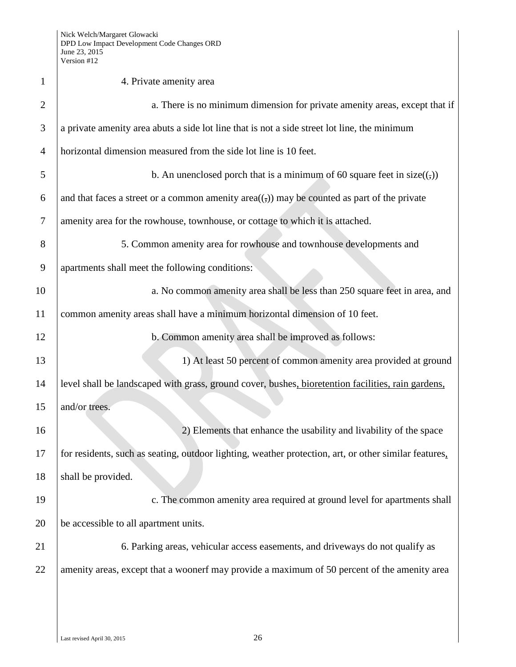| $\mathbf{1}$   | 4. Private amenity area                                                                               |
|----------------|-------------------------------------------------------------------------------------------------------|
| $\overline{2}$ | a. There is no minimum dimension for private amenity areas, except that if                            |
| 3              | a private amenity area abuts a side lot line that is not a side street lot line, the minimum          |
| $\overline{4}$ | horizontal dimension measured from the side lot line is 10 feet.                                      |
| 5              | b. An unenclosed porch that is a minimum of 60 square feet in $size((,))$                             |
| 6              | and that faces a street or a common amenity $area((,))$ may be counted as part of the private         |
| 7              | amenity area for the rowhouse, townhouse, or cottage to which it is attached.                         |
| 8              | 5. Common amenity area for rowhouse and townhouse developments and                                    |
| 9              | apartments shall meet the following conditions:                                                       |
| 10             | a. No common amenity area shall be less than 250 square feet in area, and                             |
| 11             | common amenity areas shall have a minimum horizontal dimension of 10 feet.                            |
| 12             | b. Common amenity area shall be improved as follows:                                                  |
| 13             | 1) At least 50 percent of common amenity area provided at ground                                      |
| 14             | level shall be landscaped with grass, ground cover, bushes, bioretention facilities, rain gardens,    |
| 15             | and/or trees.                                                                                         |
| 16             | 2) Elements that enhance the usability and livability of the space                                    |
| 17             | for residents, such as seating, outdoor lighting, weather protection, art, or other similar features, |
| 18             | shall be provided.                                                                                    |
| 19             | c. The common amenity area required at ground level for apartments shall                              |
| 20             | be accessible to all apartment units.                                                                 |
| 21             | 6. Parking areas, vehicular access easements, and driveways do not qualify as                         |
| 22             | amenity areas, except that a woonerf may provide a maximum of 50 percent of the amenity area          |
|                |                                                                                                       |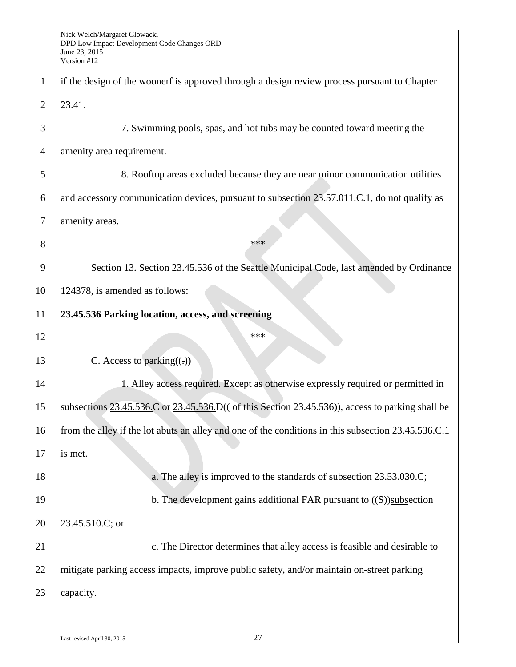|                | $V$ CLSIULI $H12$                                                                                                   |
|----------------|---------------------------------------------------------------------------------------------------------------------|
| $\mathbf{1}$   | if the design of the woonerf is approved through a design review process pursuant to Chapter                        |
| $\overline{2}$ | 23.41.                                                                                                              |
| 3              | 7. Swimming pools, spas, and hot tubs may be counted toward meeting the                                             |
| $\overline{4}$ | amenity area requirement.                                                                                           |
| 5              | 8. Rooftop areas excluded because they are near minor communication utilities                                       |
| 6              | and accessory communication devices, pursuant to subsection 23.57.011.C.1, do not qualify as                        |
| $\tau$         | amenity areas.                                                                                                      |
| 8              | ***                                                                                                                 |
| 9              | Section 13. Section 23.45.536 of the Seattle Municipal Code, last amended by Ordinance                              |
| 10             | 124378, is amended as follows:                                                                                      |
| 11             | 23.45.536 Parking location, access, and screening                                                                   |
| 12             | ***                                                                                                                 |
| 13             | C. Access to parking $((.)$                                                                                         |
| 14             | 1. Alley access required. Except as otherwise expressly required or permitted in                                    |
| 15             | subsections $23.45.536$ . C or $23.45.536$ . D(( $\rightarrow$ this Section 23.45.536)), access to parking shall be |
| 16             | from the alley if the lot abuts an alley and one of the conditions in this subsection 23.45.536.C.1                 |
| 17             | is met.                                                                                                             |
| 18             | a. The alley is improved to the standards of subsection 23.53.030.C;                                                |
| 19             | b. The development gains additional FAR pursuant to $((S))$ subsection                                              |
| 20             | 23.45.510.C; or                                                                                                     |
| 21             | c. The Director determines that alley access is feasible and desirable to                                           |
| 22             | mitigate parking access impacts, improve public safety, and/or maintain on-street parking                           |
| 23             | capacity.                                                                                                           |
|                |                                                                                                                     |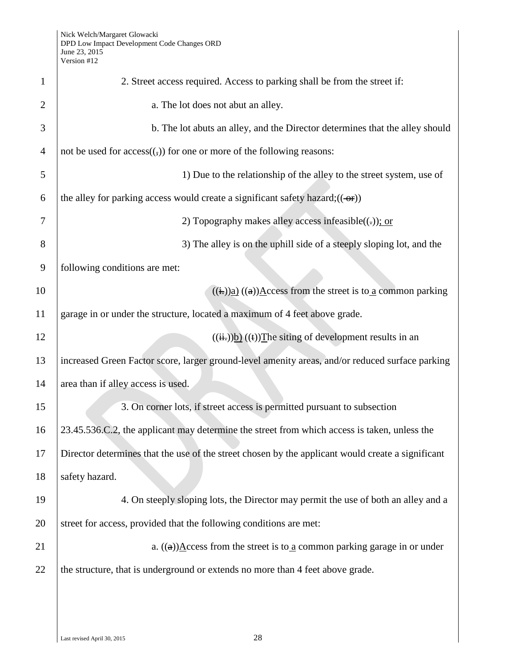| $\mathbf{1}$   | 2. Street access required. Access to parking shall be from the street if:                                                                                                                                                                                                                                                                                   |
|----------------|-------------------------------------------------------------------------------------------------------------------------------------------------------------------------------------------------------------------------------------------------------------------------------------------------------------------------------------------------------------|
| $\overline{2}$ | a. The lot does not abut an alley.                                                                                                                                                                                                                                                                                                                          |
| 3              | b. The lot abuts an alley, and the Director determines that the alley should                                                                                                                                                                                                                                                                                |
| $\overline{4}$ | not be used for $access((,))$ for one or more of the following reasons:                                                                                                                                                                                                                                                                                     |
| 5              | 1) Due to the relationship of the alley to the street system, use of                                                                                                                                                                                                                                                                                        |
| 6              | the alley for parking access would create a significant safety hazard; $((\rightarrow$ fre $))$                                                                                                                                                                                                                                                             |
| 7              | 2) Topography makes alley access infeasible $((.)$ ; or                                                                                                                                                                                                                                                                                                     |
| 8              | 3) The alley is on the uphill side of a steeply sloping lot, and the                                                                                                                                                                                                                                                                                        |
| 9              | following conditions are met:                                                                                                                                                                                                                                                                                                                               |
| 10             | $((\frac{1}{2})).)(a)(a)$ $(\frac{1}{2})(\frac{1}{2})(\frac{1}{2})(\frac{1}{2})(\frac{1}{2}i)(\frac{1}{2}i)(\frac{1}{2}i)(\frac{1}{2}i)(\frac{1}{2}i)(\frac{1}{2}i)(\frac{1}{2}i)(\frac{1}{2}i)(\frac{1}{2}i)(\frac{1}{2}i)(\frac{1}{2}i)(\frac{1}{2}i)(\frac{1}{2}i)(\frac{1}{2}i)(\frac{1}{2}i)(\frac{1}{2}i)(\frac{1}{2}i)(\frac{1}{2}i)(\frac{1}{2}i)($ |
| 11             | garage in or under the structure, located a maximum of 4 feet above grade.                                                                                                                                                                                                                                                                                  |
| 12             | $((\frac{ii}{ii})\underline{b})((t))$ The siting of development results in an                                                                                                                                                                                                                                                                               |
| 13             | increased Green Factor score, larger ground-level amenity areas, and/or reduced surface parking                                                                                                                                                                                                                                                             |
| 14             | area than if alley access is used.                                                                                                                                                                                                                                                                                                                          |
| 15             | 3. On corner lots, if street access is permitted pursuant to subsection                                                                                                                                                                                                                                                                                     |
| 16             | 23.45.536.C.2, the applicant may determine the street from which access is taken, unless the                                                                                                                                                                                                                                                                |
| 17             | Director determines that the use of the street chosen by the applicant would create a significant                                                                                                                                                                                                                                                           |
| 18             | safety hazard.                                                                                                                                                                                                                                                                                                                                              |
| 19             | 4. On steeply sloping lots, the Director may permit the use of both an alley and a                                                                                                                                                                                                                                                                          |
| 20             | street for access, provided that the following conditions are met:                                                                                                                                                                                                                                                                                          |
| 21             | a. $((a))\underline{A}$ ccess from the street is to a common parking garage in or under                                                                                                                                                                                                                                                                     |
| 22             | the structure, that is underground or extends no more than 4 feet above grade.                                                                                                                                                                                                                                                                              |
|                |                                                                                                                                                                                                                                                                                                                                                             |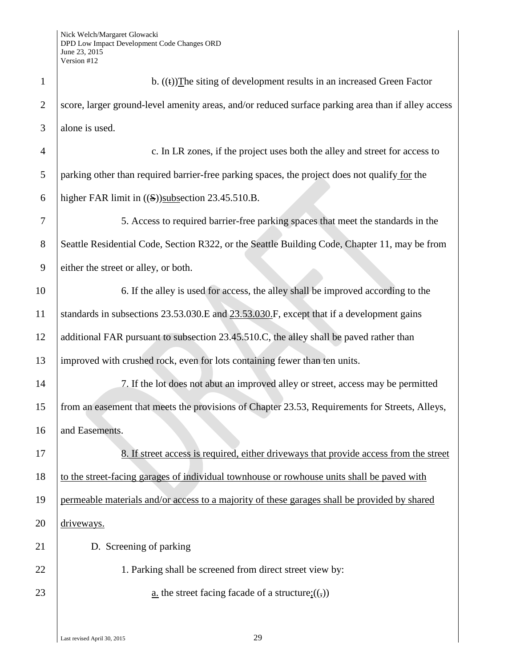| $\mathbf{1}$   | b. $((t))$ The siting of development results in an increased Green Factor                          |
|----------------|----------------------------------------------------------------------------------------------------|
| $\overline{2}$ | score, larger ground-level amenity areas, and/or reduced surface parking area than if alley access |
| 3              | alone is used.                                                                                     |
| $\overline{4}$ | c. In LR zones, if the project uses both the alley and street for access to                        |
| 5              | parking other than required barrier-free parking spaces, the project does not qualify for the      |
| 6              | higher FAR limit in $((S))$ subsection 23.45.510.B.                                                |
| 7              | 5. Access to required barrier-free parking spaces that meet the standards in the                   |
| 8              | Seattle Residential Code, Section R322, or the Seattle Building Code, Chapter 11, may be from      |
| 9              | either the street or alley, or both.                                                               |
| 10             | 6. If the alley is used for access, the alley shall be improved according to the                   |
| 11             | standards in subsections 23.53.030.E and 23.53.030.F, except that if a development gains           |
| 12             | additional FAR pursuant to subsection 23.45.510.C, the alley shall be paved rather than            |
| 13             | improved with crushed rock, even for lots containing fewer than ten units.                         |
| 14             | 7. If the lot does not abut an improved alley or street, access may be permitted                   |
| 15             | from an easement that meets the provisions of Chapter 23.53, Requirements for Streets, Alleys,     |
| 16             | and Easements.                                                                                     |
| 17             | 8. If street access is required, either driveways that provide access from the street              |
| 18             | to the street-facing garages of individual townhouse or rowhouse units shall be paved with         |
| 19             | permeable materials and/or access to a majority of these garages shall be provided by shared       |
| 20             | driveways.                                                                                         |
| 21             | D. Screening of parking                                                                            |
| 22             | 1. Parking shall be screened from direct street view by:                                           |
| 23             | <u>a</u> . the street facing facade of a structure; $((,))$                                        |
|                |                                                                                                    |
|                |                                                                                                    |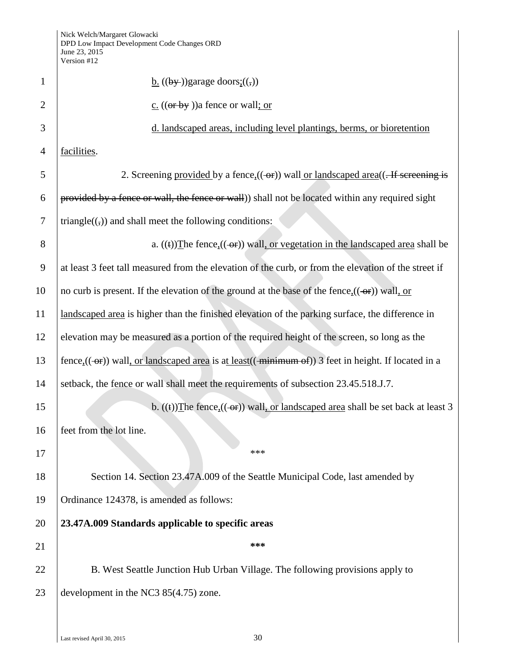|                | Vers10n #12                                                                                             |  |
|----------------|---------------------------------------------------------------------------------------------------------|--|
| $\mathbf{1}$   | $\underline{b}$ . ((by-))garage doors: ((,))                                                            |  |
| $\overline{2}$ | $c.$ ((or by )) a fence or wall; or                                                                     |  |
| 3              | d. landscaped areas, including level plantings, berms, or bioretention                                  |  |
| $\overline{4}$ | facilities.                                                                                             |  |
| 5              |                                                                                                         |  |
| 6              | provided by a fence or wall, the fence or wall) shall not be located within any required sight          |  |
| $\overline{7}$ | triangle $((,))$ and shall meet the following conditions:                                               |  |
| 8              | a. $((t))$ The fence, $((\rightarrow r))$ wall, or vegetation in the landscaped area shall be           |  |
| 9              | at least 3 feet tall measured from the elevation of the curb, or from the elevation of the street if    |  |
| 10             | no curb is present. If the elevation of the ground at the base of the fence, $((-eF))$ wall, or         |  |
| 11             | landscaped area is higher than the finished elevation of the parking surface, the difference in         |  |
| 12             | elevation may be measured as a portion of the required height of the screen, so long as the             |  |
| 13             |                                                                                                         |  |
| 14             | setback, the fence or wall shall meet the requirements of subsection 23.45.518.J.7.                     |  |
| 15             | b. $((t))$ The fence <sub>2</sub> $((-\theta t))$ wall, or landscaped area shall be set back at least 3 |  |
| 16             | feet from the lot line.                                                                                 |  |
| 17             | ***                                                                                                     |  |
| 18             | Section 14. Section 23.47A.009 of the Seattle Municipal Code, last amended by                           |  |
| 19             | Ordinance 124378, is amended as follows:                                                                |  |
| 20             | 23.47A.009 Standards applicable to specific areas                                                       |  |
| 21             | ***                                                                                                     |  |
| 22             | B. West Seattle Junction Hub Urban Village. The following provisions apply to                           |  |
| 23             | development in the NC3 $85(4.75)$ zone.                                                                 |  |
|                |                                                                                                         |  |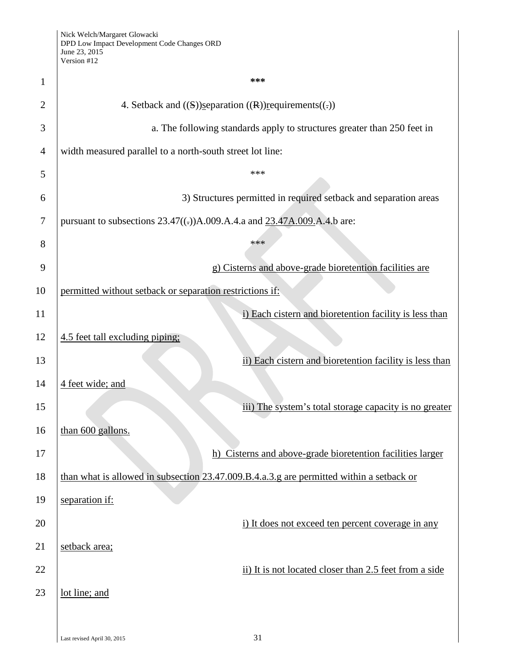| 1              | ***                                                                                      |
|----------------|------------------------------------------------------------------------------------------|
| $\overline{2}$ | 4. Setback and $((S))$ separation $((R))$ requirements $((.)$                            |
| 3              | a. The following standards apply to structures greater than 250 feet in                  |
| $\overline{4}$ | width measured parallel to a north-south street lot line:                                |
| 5              | ***                                                                                      |
| 6              | 3) Structures permitted in required setback and separation areas                         |
| 7              | pursuant to subsections $23.47((.)$ A.009.A.4.a and $23.47$ A.009.A.4.b are:             |
| 8              | ***                                                                                      |
| 9              | g) Cisterns and above-grade bioretention facilities are                                  |
| 10             | permitted without setback or separation restrictions if:                                 |
| 11             | i) Each cistern and bioretention facility is less than                                   |
| 12             | 4.5 feet tall excluding piping;                                                          |
| 13             | ii) Each cistern and bioretention facility is less than                                  |
| 14             | 4 feet wide; and                                                                         |
| 15             | iii) The system's total storage capacity is no greater                                   |
| 16             | than 600 gallons.                                                                        |
| 17             | h) Cisterns and above-grade bioretention facilities larger                               |
| 18             | than what is allowed in subsection 23.47.009.B.4.a.3.g are permitted within a setback or |
| 19             | separation if:                                                                           |
| 20             | i) It does not exceed ten percent coverage in any                                        |
| 21             | setback area;                                                                            |
| 22             | ii) It is not located closer than 2.5 feet from a side                                   |
| 23             | lot line; and                                                                            |
|                |                                                                                          |
|                |                                                                                          |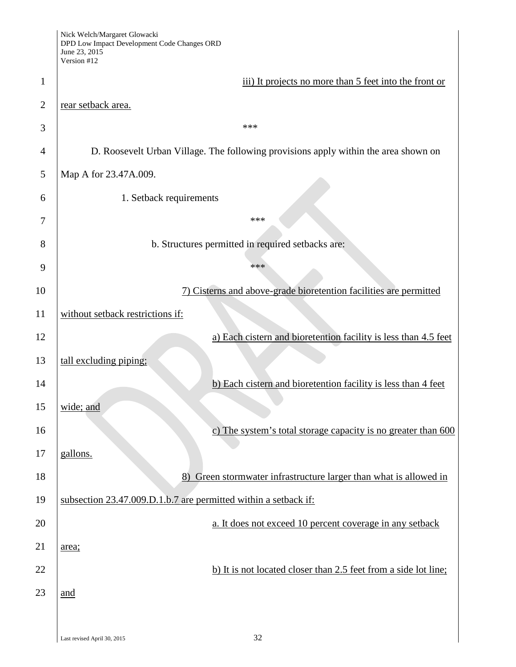|                | Nick Welch/Margaret Glowacki<br>DPD Low Impact Development Code Changes ORD<br>June 23, 2015<br>Version #12 |
|----------------|-------------------------------------------------------------------------------------------------------------|
| 1              | iii) It projects no more than 5 feet into the front or                                                      |
| $\overline{2}$ | rear setback area.                                                                                          |
| 3              | ***                                                                                                         |
| 4              | D. Roosevelt Urban Village. The following provisions apply within the area shown on                         |
| 5              | Map A for 23.47A.009.                                                                                       |
| 6              | 1. Setback requirements                                                                                     |
| 7              | ***                                                                                                         |
| 8              | b. Structures permitted in required setbacks are:                                                           |
| 9              | ***                                                                                                         |
| 10             | 7) Cisterns and above-grade bioretention facilities are permitted                                           |
| 11             | without setback restrictions if:                                                                            |
| 12             | a) Each cistern and bioretention facility is less than 4.5 feet                                             |
| 13             | tall excluding piping;                                                                                      |
| 14             | b) Each cistern and bioretention facility is less than 4 feet                                               |
| 15             | wide; and                                                                                                   |
| 16             | c) The system's total storage capacity is no greater than $600$                                             |
| 17             | gallons.                                                                                                    |
| 18             | 8) Green stormwater infrastructure larger than what is allowed in                                           |
| 19             | subsection 23.47.009.D.1.b.7 are permitted within a setback if:                                             |
| 20             | a. It does not exceed 10 percent coverage in any setback                                                    |
| 21             | area;                                                                                                       |
| 22             | b) It is not located closer than 2.5 feet from a side lot line;                                             |
| 23             | and                                                                                                         |
|                |                                                                                                             |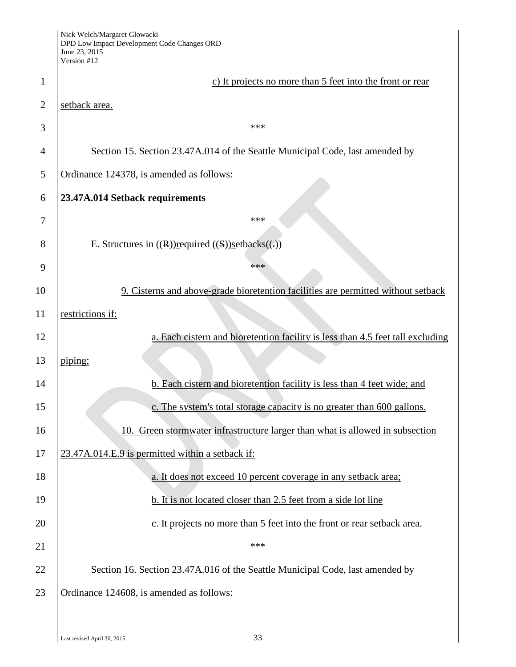|                | Nick Welch/Margaret Glowacki<br>DPD Low Impact Development Code Changes ORD<br>June 23, 2015<br>Version #12 |  |
|----------------|-------------------------------------------------------------------------------------------------------------|--|
| 1              | c) It projects no more than 5 feet into the front or rear                                                   |  |
| $\overline{2}$ | setback area.                                                                                               |  |
| 3              | ***                                                                                                         |  |
| 4              | Section 15. Section 23.47A.014 of the Seattle Municipal Code, last amended by                               |  |
| 5              | Ordinance 124378, is amended as follows:                                                                    |  |
| 6              | 23.47A.014 Setback requirements                                                                             |  |
| 7              | ***                                                                                                         |  |
| 8              | E. Structures in $((R))$ required $((S))$ setbacks $((.)$                                                   |  |
| 9              | ***                                                                                                         |  |
| 10             | 9. Cisterns and above-grade bioretention facilities are permitted without setback                           |  |
| 11             | restrictions if:                                                                                            |  |
| 12             | a. Each cistern and bioretention facility is less than 4.5 feet tall excluding                              |  |
| 13             | piping;                                                                                                     |  |
| 14             | b. Each cistern and bioretention facility is less than 4 feet wide; and                                     |  |
| 15             | c. The system's total storage capacity is no greater than 600 gallons.                                      |  |
| 16             | Green stormwater infrastructure larger than what is allowed in subsection<br>10.                            |  |
| 17             | 23.47A.014.E.9 is permitted within a setback if:                                                            |  |
| 18             | a. It does not exceed 10 percent coverage in any setback area;                                              |  |
| 19             | b. It is not located closer than 2.5 feet from a side lot line                                              |  |
| 20             | c. It projects no more than 5 feet into the front or rear setback area.                                     |  |
| 21             | ***                                                                                                         |  |
| 22             | Section 16. Section 23.47A.016 of the Seattle Municipal Code, last amended by                               |  |
| 23             | Ordinance 124608, is amended as follows:                                                                    |  |
|                |                                                                                                             |  |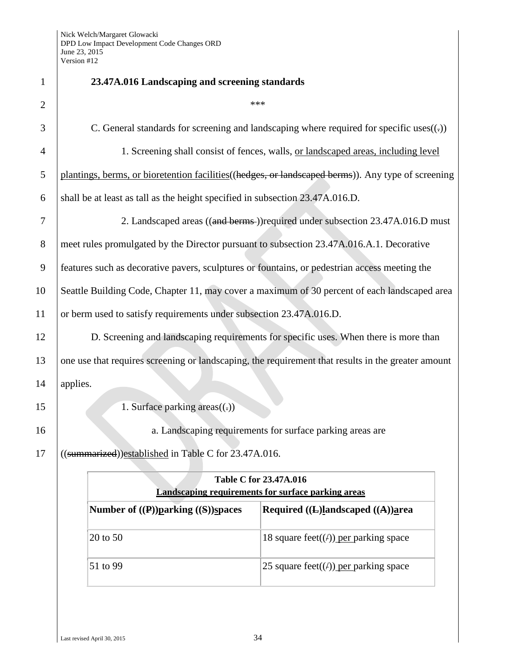| $\mathbf{1}$   | 23.47A.016 Landscaping and screening standards                                                      |  |
|----------------|-----------------------------------------------------------------------------------------------------|--|
| $\overline{2}$ | ***                                                                                                 |  |
| 3              | C. General standards for screening and landscaping where required for specific uses $((.)$          |  |
| $\overline{4}$ | 1. Screening shall consist of fences, walls, or landscaped areas, including level                   |  |
| 5              | plantings, berms, or bioretention facilities ((hedges, or landscaped berms)). Any type of screening |  |
| 6              | shall be at least as tall as the height specified in subsection 23.47A.016.D.                       |  |
| 7              | 2. Landscaped areas ((and berms))required under subsection 23.47A.016.D must                        |  |
| 8              | meet rules promulgated by the Director pursuant to subsection 23.47A.016.A.1. Decorative            |  |
| 9              | features such as decorative pavers, sculptures or fountains, or pedestrian access meeting the       |  |
| 10             | Seattle Building Code, Chapter 11, may cover a maximum of 30 percent of each landscaped area        |  |
| 11             | or berm used to satisfy requirements under subsection 23.47A.016.D.                                 |  |
| 12             | D. Screening and landscaping requirements for specific uses. When there is more than                |  |
| 13             | one use that requires screening or landscaping, the requirement that results in the greater amount  |  |
| 14             | applies.                                                                                            |  |
| 15             | 1. Surface parking $area((.)$                                                                       |  |
| 16             | a. Landscaping requirements for surface parking areas are                                           |  |
| 17             | ((summarized))established in Table C for 23.47A.016.                                                |  |
|                | Table C for 23.47A.016                                                                              |  |
|                | <b>Landscaping requirements for surface parking areas</b>                                           |  |
|                | Number of ((P))parking ((S))spaces<br>Required $((L)$ landscaped $((A))$ area                       |  |
|                | 20 to 50<br>18 square feet( $(f)$ ) per parking space                                               |  |
|                | 51 to 99<br>25 square feet( $(f)$ ) per parking space                                               |  |
|                |                                                                                                     |  |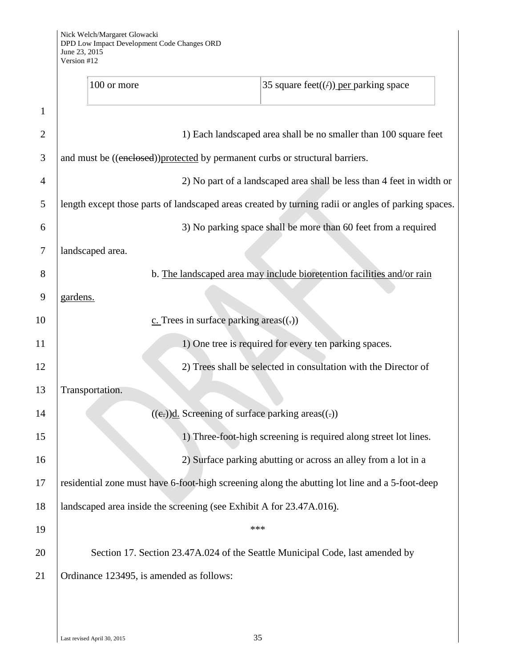|                | 100 or more                                                                                         | 35 square feet( $(f)$ ) per parking space |
|----------------|-----------------------------------------------------------------------------------------------------|-------------------------------------------|
| $\mathbf{1}$   |                                                                                                     |                                           |
| $\overline{2}$ | 1) Each landscaped area shall be no smaller than 100 square feet                                    |                                           |
| 3              | and must be ((enclosed))protected by permanent curbs or structural barriers.                        |                                           |
| 4              | 2) No part of a landscaped area shall be less than 4 feet in width or                               |                                           |
| 5              | length except those parts of landscaped areas created by turning radii or angles of parking spaces. |                                           |
| 6              | 3) No parking space shall be more than 60 feet from a required                                      |                                           |
| 7              | landscaped area.                                                                                    |                                           |
| 8              | b. The landscaped area may include bioretention facilities and/or rain                              |                                           |
| 9              | gardens.                                                                                            |                                           |
| 10             | $c$ . Trees in surface parking areas $((.)$                                                         |                                           |
| 11             | 1) One tree is required for every ten parking spaces.                                               |                                           |
| 12             | 2) Trees shall be selected in consultation with the Director of                                     |                                           |
| 13             | Transportation.                                                                                     |                                           |
| 14             | $((e))$ d. Screening of surface parking areas $((.)$                                                |                                           |
| 15             | 1) Three-foot-high screening is required along street lot lines.                                    |                                           |
| 16             | 2) Surface parking abutting or across an alley from a lot in a                                      |                                           |
| 17             | residential zone must have 6-foot-high screening along the abutting lot line and a 5-foot-deep      |                                           |
| 18             | landscaped area inside the screening (see Exhibit A for 23.47A.016).                                |                                           |
| 19             | ***                                                                                                 |                                           |
| 20             | Section 17. Section 23.47A.024 of the Seattle Municipal Code, last amended by                       |                                           |
|                | Ordinance 123495, is amended as follows:                                                            |                                           |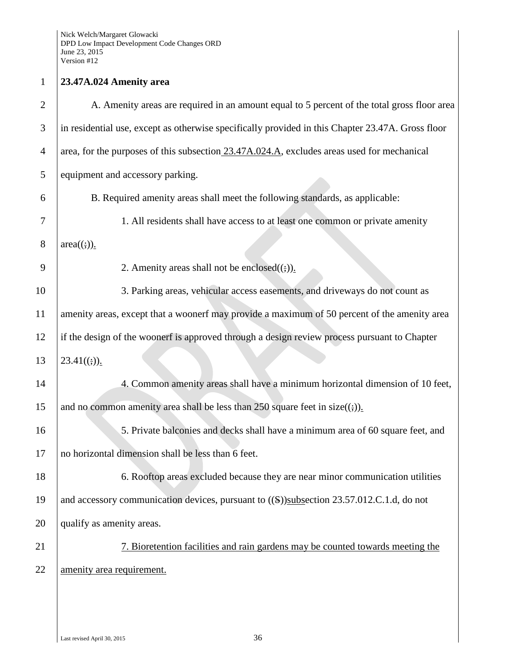## **23.47A.024 Amenity area**

| A. Amenity areas are required in an amount equal to 5 percent of the total gross floor area       |
|---------------------------------------------------------------------------------------------------|
| in residential use, except as otherwise specifically provided in this Chapter 23.47A. Gross floor |
| area, for the purposes of this subsection 23.47A.024.A, excludes areas used for mechanical        |
| equipment and accessory parking.                                                                  |
| B. Required amenity areas shall meet the following standards, as applicable:                      |
| 1. All residents shall have access to at least one common or private amenity                      |
| $area((:)$ ).                                                                                     |
| 2. Amenity areas shall not be enclosed $((\frac{1}{2}))$ .                                        |
| 3. Parking areas, vehicular access easements, and driveways do not count as                       |
| amenity areas, except that a woonerf may provide a maximum of 50 percent of the amenity area      |
| if the design of the woonerf is approved through a design review process pursuant to Chapter      |
| $23.41((t))$ .                                                                                    |
| 4. Common amenity areas shall have a minimum horizontal dimension of 10 feet,                     |
| and no common amenity area shall be less than 250 square feet in size( $(\frac{1}{2})$ ).         |
| 5. Private balconies and decks shall have a minimum area of 60 square feet, and                   |
| no horizontal dimension shall be less than 6 feet.                                                |
| 6. Rooftop areas excluded because they are near minor communication utilities                     |
| and accessory communication devices, pursuant to $((S))$ subsection 23.57.012.C.1.d, do not       |
| qualify as amenity areas.                                                                         |
| 7. Bioretention facilities and rain gardens may be counted towards meeting the                    |
| amenity area requirement.                                                                         |
|                                                                                                   |
|                                                                                                   |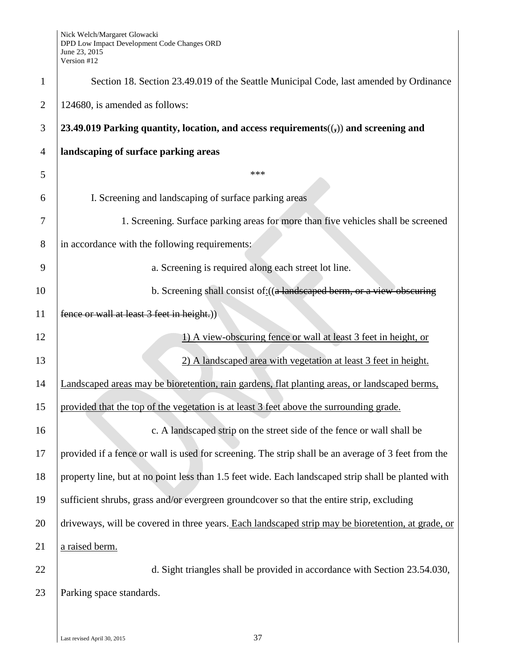| $\mathbf{1}$   | Section 18. Section 23.49.019 of the Seattle Municipal Code, last amended by Ordinance              |
|----------------|-----------------------------------------------------------------------------------------------------|
| $\overline{2}$ | 124680, is amended as follows:                                                                      |
| 3              | 23.49.019 Parking quantity, location, and access requirements( $(j)$ ) and screening and            |
| 4              | landscaping of surface parking areas                                                                |
| 5              | ***                                                                                                 |
| 6              | I. Screening and landscaping of surface parking areas                                               |
| 7              | 1. Screening. Surface parking areas for more than five vehicles shall be screened                   |
| 8              | in accordance with the following requirements:                                                      |
| 9              | a. Screening is required along each street lot line.                                                |
| 10             | b. Screening shall consist of: ((a landscaped berm, or a view obscuring                             |
| 11             | fence or wall at least 3 feet in height.))                                                          |
| 12             | 1) A view-obscuring fence or wall at least 3 feet in height, or                                     |
| 13             | 2) A landscaped area with vegetation at least 3 feet in height.                                     |
| 14             | Landscaped areas may be bioretention, rain gardens, flat planting areas, or landscaped berms,       |
| 15             | provided that the top of the vegetation is at least 3 feet above the surrounding grade.             |
| 16             | c. A landscaped strip on the street side of the fence or wall shall be                              |
| 17             | provided if a fence or wall is used for screening. The strip shall be an average of 3 feet from the |
| 18             | property line, but at no point less than 1.5 feet wide. Each landscaped strip shall be planted with |
| 19             | sufficient shrubs, grass and/or evergreen groundcover so that the entire strip, excluding           |
| 20             | driveways, will be covered in three years. Each landscaped strip may be bioretention, at grade, or  |
| 21             | a raised berm.                                                                                      |
| 22             | d. Sight triangles shall be provided in accordance with Section 23.54.030,                          |
| 23             | Parking space standards.                                                                            |
|                |                                                                                                     |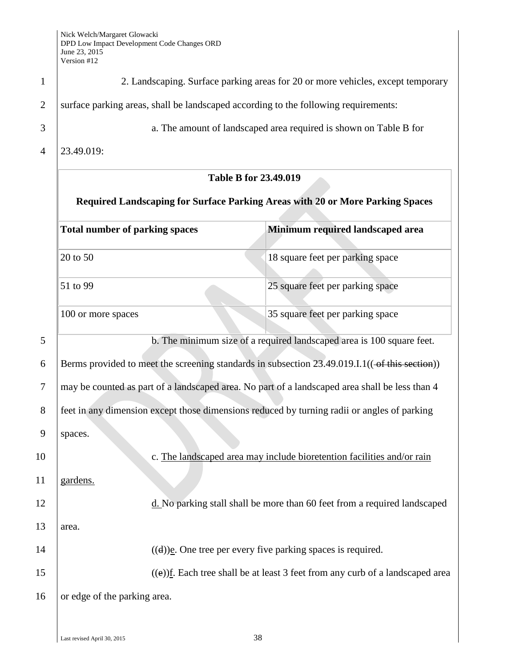| $\mathbf{1}$   | 2. Landscaping. Surface parking areas for 20 or more vehicles, except temporary                |                                                                        |  |
|----------------|------------------------------------------------------------------------------------------------|------------------------------------------------------------------------|--|
| $\overline{2}$ | surface parking areas, shall be landscaped according to the following requirements:            |                                                                        |  |
| 3              |                                                                                                | a. The amount of landscaped area required is shown on Table B for      |  |
| $\overline{4}$ | 23.49.019:                                                                                     |                                                                        |  |
|                | <b>Table B for 23.49.019</b>                                                                   |                                                                        |  |
|                | Required Landscaping for Surface Parking Areas with 20 or More Parking Spaces                  |                                                                        |  |
|                | <b>Total number of parking spaces</b>                                                          | Minimum required landscaped area                                       |  |
|                | 20 to 50                                                                                       | 18 square feet per parking space                                       |  |
|                | 51 to 99                                                                                       | 25 square feet per parking space                                       |  |
|                | 100 or more spaces                                                                             | 35 square feet per parking space                                       |  |
| 5              | b. The minimum size of a required landscaped area is 100 square feet.                          |                                                                        |  |
| 6              | Berms provided to meet the screening standards in subsection 23.49.019.I.1((-of this section)) |                                                                        |  |
| 7              | may be counted as part of a landscaped area. No part of a landscaped area shall be less than 4 |                                                                        |  |
| 8              | feet in any dimension except those dimensions reduced by turning radii or angles of parking    |                                                                        |  |
| 9              | spaces.                                                                                        |                                                                        |  |
| 10             |                                                                                                | c. The landscaped area may include bioretention facilities and/or rain |  |
| 11             | gardens.                                                                                       |                                                                        |  |
| 12             | d. No parking stall shall be more than 60 feet from a required landscaped                      |                                                                        |  |
| 13             | area.                                                                                          |                                                                        |  |
| 14             | $((d))$ e. One tree per every five parking spaces is required.                                 |                                                                        |  |
| 15             | $((e))$ f. Each tree shall be at least 3 feet from any curb of a landscaped area               |                                                                        |  |
| 16             | or edge of the parking area.                                                                   |                                                                        |  |
|                |                                                                                                |                                                                        |  |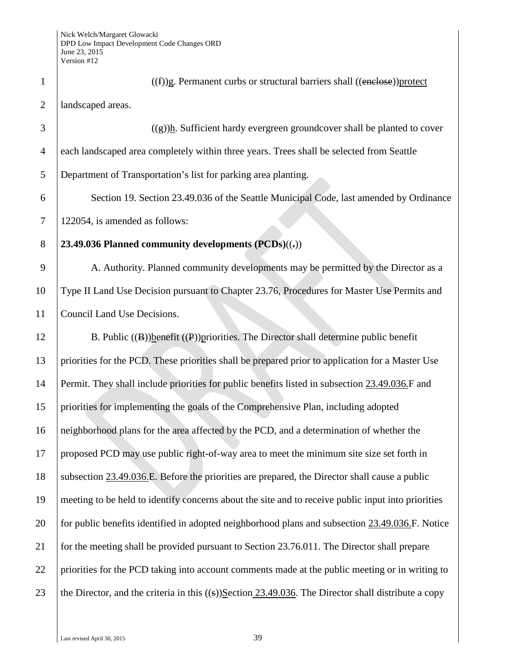| $\mathbf{1}$   | $((f))$ g. Permanent curbs or structural barriers shall $((\text{enclose}))$ protect                   |
|----------------|--------------------------------------------------------------------------------------------------------|
| $\overline{2}$ | landscaped areas.                                                                                      |
| 3              | $((g))$ h. Sufficient hardy evergreen groundcover shall be planted to cover                            |
| 4              | each landscaped area completely within three years. Trees shall be selected from Seattle               |
| 5              | Department of Transportation's list for parking area planting.                                         |
| 6              | Section 19. Section 23.49.036 of the Seattle Municipal Code, last amended by Ordinance                 |
| 7              | 122054, is amended as follows:                                                                         |
| $8\,$          | 23.49.036 Planned community developments $(PCDs)((=))$                                                 |
| 9              | A. Authority. Planned community developments may be permitted by the Director as a                     |
| 10             | Type II Land Use Decision pursuant to Chapter 23.76, Procedures for Master Use Permits and             |
| 11             | Council Land Use Decisions.                                                                            |
| 12             | B. Public $((B))$ benefit $((P))$ priorities. The Director shall determine public benefit              |
| 13             | priorities for the PCD. These priorities shall be prepared prior to application for a Master Use       |
| 14             | Permit. They shall include priorities for public benefits listed in subsection 23.49.036.F and         |
| 15             | priorities for implementing the goals of the Comprehensive Plan, including adopted                     |
| 16             | neighborhood plans for the area affected by the PCD, and a determination of whether the                |
| 17             | proposed PCD may use public right-of-way area to meet the minimum site size set forth in               |
| 18             | subsection 23.49.036.E. Before the priorities are prepared, the Director shall cause a public          |
| 19             | meeting to be held to identify concerns about the site and to receive public input into priorities     |
| 20             | for public benefits identified in adopted neighborhood plans and subsection 23.49.036.F. Notice        |
| 21             | for the meeting shall be provided pursuant to Section 23.76.011. The Director shall prepare            |
| 22             | priorities for the PCD taking into account comments made at the public meeting or in writing to        |
| 23             | the Director, and the criteria in this $((s))$ Section 23.49.036. The Director shall distribute a copy |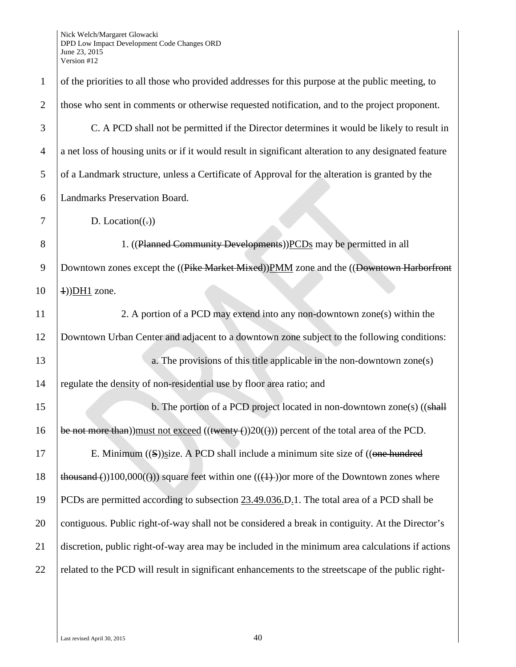| $\mathbf{1}$   | of the priorities to all those who provided addresses for this purpose at the public meeting, to           |  |
|----------------|------------------------------------------------------------------------------------------------------------|--|
| $\overline{2}$ | those who sent in comments or otherwise requested notification, and to the project proponent.              |  |
| 3              | C. A PCD shall not be permitted if the Director determines it would be likely to result in                 |  |
| $\overline{4}$ | a net loss of housing units or if it would result in significant alteration to any designated feature      |  |
| 5              | of a Landmark structure, unless a Certificate of Approval for the alteration is granted by the             |  |
| 6              | Landmarks Preservation Board.                                                                              |  |
| 7              | D. Location( $\left(\frac{1}{2}\right)$ )                                                                  |  |
| 8              | 1. ((Planned Community Developments))PCDs may be permitted in all                                          |  |
| 9              | Downtown zones except the ((Pike Market Mixed)) PMM zone and the ((Downtown Harborfront                    |  |
| 10             | $\pm$ ))DH1 zone.                                                                                          |  |
| 11             | 2. A portion of a PCD may extend into any non-downtown zone(s) within the                                  |  |
| 12             | Downtown Urban Center and adjacent to a downtown zone subject to the following conditions:                 |  |
| 13             | a. The provisions of this title applicable in the non-downtown zone(s)                                     |  |
| 14             | regulate the density of non-residential use by floor area ratio; and                                       |  |
| 15             | b. The portion of a PCD project located in non-downtown zone(s) ((shall                                    |  |
| 16             | be not more than)) must not exceed $(($ twenty $-$ () $)20$ ( $)$ )) percent of the total area of the PCD. |  |
| 17             | E. Minimum $((S))$ size. A PCD shall include a minimum site size of $((\Theta \Theta)$ hundred             |  |
| 18             | thousand ())100,000(())) square feet within one $((+))$ or more of the Downtown zones where                |  |
| 19             | PCDs are permitted according to subsection 23.49.036.D.1. The total area of a PCD shall be                 |  |
| 20             | contiguous. Public right-of-way shall not be considered a break in contiguity. At the Director's           |  |
| 21             | discretion, public right-of-way area may be included in the minimum area calculations if actions           |  |
| 22             | related to the PCD will result in significant enhancements to the streetscape of the public right-         |  |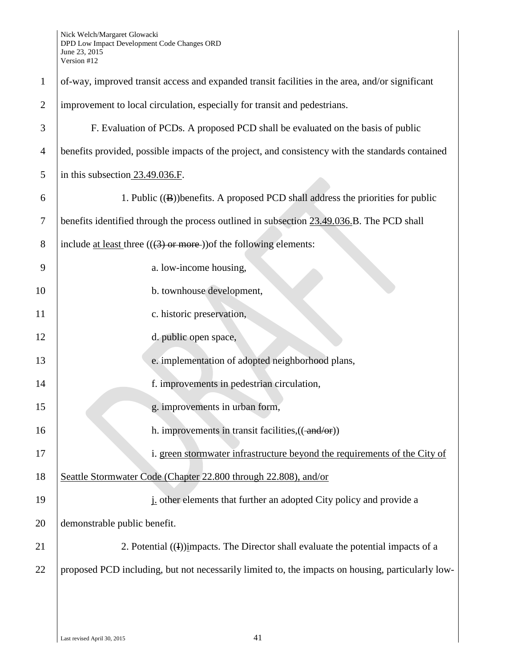| $\mathbf{1}$   | of-way, improved transit access and expanded transit facilities in the area, and/or significant   |  |
|----------------|---------------------------------------------------------------------------------------------------|--|
| $\overline{2}$ | improvement to local circulation, especially for transit and pedestrians.                         |  |
| 3              | F. Evaluation of PCDs. A proposed PCD shall be evaluated on the basis of public                   |  |
| $\overline{4}$ | benefits provided, possible impacts of the project, and consistency with the standards contained  |  |
| 5              | in this subsection $23.49.036.F$ .                                                                |  |
| 6              | 1. Public $((\mathbf{B}))$ benefits. A proposed PCD shall address the priorities for public       |  |
| 7              | benefits identified through the process outlined in subsection 23.49.036.B. The PCD shall         |  |
| 8              | include at least three $(((3) \text{ or more}))$ of the following elements:                       |  |
| 9              | a. low-income housing,                                                                            |  |
| 10             | b. townhouse development,                                                                         |  |
| 11             | c. historic preservation,                                                                         |  |
| 12             | d. public open space,                                                                             |  |
| 13             | e. implementation of adopted neighborhood plans,                                                  |  |
| 14             | f. improvements in pedestrian circulation,                                                        |  |
| 15             | g. improvements in urban form,                                                                    |  |
| 16             | h. improvements in transit facilities, $((\text{-and/or}))$                                       |  |
| 17             | i. green stormwater infrastructure beyond the requirements of the City of                         |  |
| 18             | Seattle Stormwater Code (Chapter 22.800 through 22.808), and/or                                   |  |
| 19             | <i>i</i> other elements that further an adopted City policy and provide a                         |  |
| 20             | demonstrable public benefit.                                                                      |  |
| 21             | 2. Potential $(I)$ impacts. The Director shall evaluate the potential impacts of a                |  |
| 22             | proposed PCD including, but not necessarily limited to, the impacts on housing, particularly low- |  |
|                |                                                                                                   |  |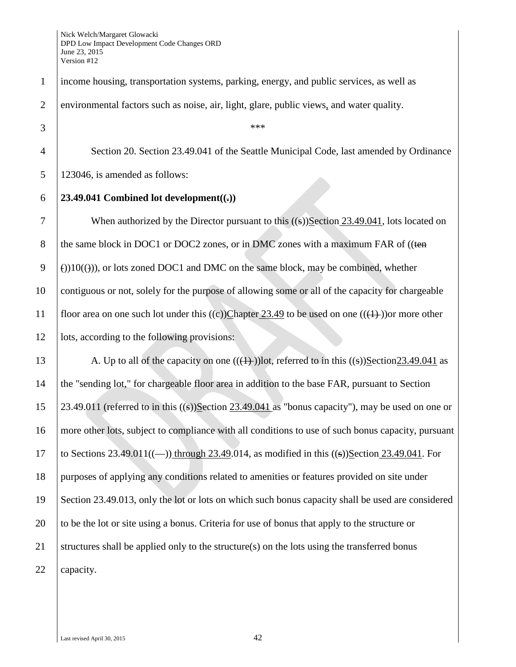| $\mathbf{1}$   | income housing, transportation systems, parking, energy, and public services, as well as             |  |
|----------------|------------------------------------------------------------------------------------------------------|--|
| $\overline{2}$ | environmental factors such as noise, air, light, glare, public views, and water quality.             |  |
| 3              | ***                                                                                                  |  |
| $\overline{4}$ | Section 20. Section 23.49.041 of the Seattle Municipal Code, last amended by Ordinance               |  |
| 5              | 123046, is amended as follows:                                                                       |  |
| 6              | 23.49.041 Combined lot development( $(\cdot)$ )                                                      |  |
| $\overline{7}$ | When authorized by the Director pursuant to this $((s))$ Section 23.49.041, lots located on          |  |
| 8              | the same block in DOC1 or DOC2 zones, or in DMC zones with a maximum FAR of ((ten                    |  |
| 9              | $\Theta(10)(10)(10)$ , or lots zoned DOC1 and DMC on the same block, may be combined, whether        |  |
| 10             | contiguous or not, solely for the purpose of allowing some or all of the capacity for chargeable     |  |
| 11             | floor area on one such lot under this ((c))Chapter 23.49 to be used on one (( $(1)$ )) or more other |  |
| 12             | lots, according to the following provisions:                                                         |  |
| 13             | A. Up to all of the capacity on one $((+))$ lot, referred to in this $((s))$ Section23.49.041 as     |  |
| 14             | the "sending lot," for chargeable floor area in addition to the base FAR, pursuant to Section        |  |
| 15             | 23.49.011 (referred to in this $((s))$ Section 23.49.041 as "bonus capacity"), may be used on one or |  |
| 16             | more other lots, subject to compliance with all conditions to use of such bonus capacity, pursuant   |  |
| 17             | to Sections 23.49.011((-)) through 23.49.014, as modified in this $((s))$ Section 23.49.041. For     |  |
| 18             | purposes of applying any conditions related to amenities or features provided on site under          |  |
| 19             | Section 23.49.013, only the lot or lots on which such bonus capacity shall be used are considered    |  |
| 20             | to be the lot or site using a bonus. Criteria for use of bonus that apply to the structure or        |  |
| 21             | structures shall be applied only to the structure(s) on the lots using the transferred bonus         |  |
| 22             | capacity.                                                                                            |  |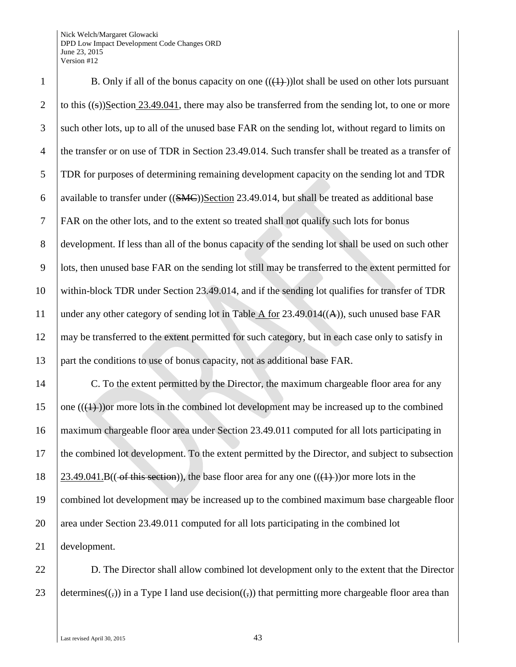## Nick Welch/Margaret Glowacki DPD Low Impact Development Code Changes ORD June 23, 2015 Version #12

1 B. Only if all of the bonus capacity on one  $((\{+) \})$  lot shall be used on other lots pursuant 2 to this  $((s))$ Section 23.49.041, there may also be transferred from the sending lot, to one or more such other lots, up to all of the unused base FAR on the sending lot, without regard to limits on the transfer or on use of TDR in Section 23.49.014. Such transfer shall be treated as a transfer of TDR for purposes of determining remaining development capacity on the sending lot and TDR 6 available to transfer under  $((SMC))$ Section 23.49.014, but shall be treated as additional base FAR on the other lots, and to the extent so treated shall not qualify such lots for bonus development. If less than all of the bonus capacity of the sending lot shall be used on such other lots, then unused base FAR on the sending lot still may be transferred to the extent permitted for within-block TDR under Section 23.49.014, and if the sending lot qualifies for transfer of TDR 11 | under any other category of sending lot in Table  $\overline{A}$  for 23.49.014( $(A)$ ), such unused base FAR 12 may be transferred to the extent permitted for such category, but in each case only to satisfy in part the conditions to use of bonus capacity, not as additional base FAR.

14 C. To the extent permitted by the Director, the maximum chargeable floor area for any 15 one  $((1))$  or more lots in the combined lot development may be increased up to the combined 16 maximum chargeable floor area under Section 23.49.011 computed for all lots participating in 17 the combined lot development. To the extent permitted by the Director, and subject to subsection 18  $\left( \frac{23.49.041 \text{ B}}{(\text{of this section})} \right)$ , the base floor area for any one  $((\text{(+)}))$ or more lots in the 19 combined lot development may be increased up to the combined maximum base chargeable floor 20 area under Section 23.49.011 computed for all lots participating in the combined lot 21 development.

22 **D.** The Director shall allow combined lot development only to the extent that the Director 23 determines( $(\cdot, \cdot)$ ) in a Type I land use decision( $(\cdot, \cdot)$ ) that permitting more chargeable floor area than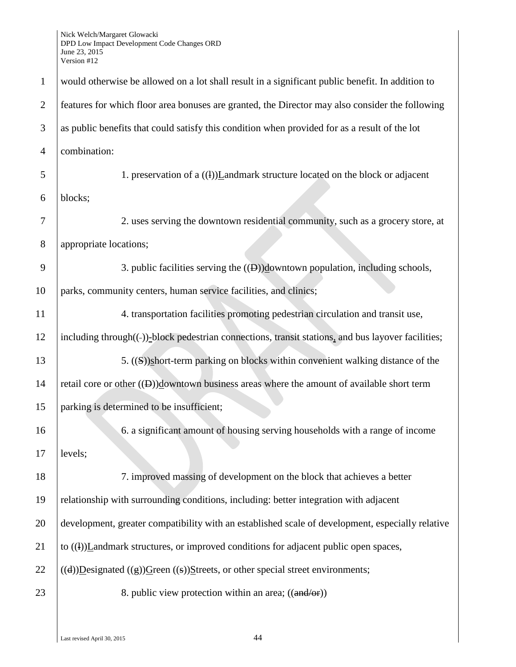| $\mathbf{1}$   | would otherwise be allowed on a lot shall result in a significant public benefit. In addition to   |  |
|----------------|----------------------------------------------------------------------------------------------------|--|
| $\overline{2}$ | features for which floor area bonuses are granted, the Director may also consider the following    |  |
| 3              | as public benefits that could satisfy this condition when provided for as a result of the lot      |  |
| $\overline{4}$ | combination:                                                                                       |  |
| 5              | 1. preservation of a $((1))$ <i>L</i> andmark structure located on the block or adjacent           |  |
| 6              | blocks;                                                                                            |  |
| 7              | 2. uses serving the downtown residential community, such as a grocery store, at                    |  |
| 8              | appropriate locations;                                                                             |  |
| 9              | 3. public facilities serving the $((\theta))$ downtown population, including schools,              |  |
| 10             | parks, community centers, human service facilities, and clinics;                                   |  |
| 11             | 4. transportation facilities promoting pedestrian circulation and transit use,                     |  |
| 12             | including through((-))-block pedestrian connections, transit stations, and bus layover facilities; |  |
| 13             | 5. ((S))short-term parking on blocks within convenient walking distance of the                     |  |
| 14             | retail core or other $((\theta))$ downtown business areas where the amount of available short term |  |
| 15             | parking is determined to be insufficient;                                                          |  |
| 16             | 6. a significant amount of housing serving households with a range of income                       |  |
| 17             | levels;                                                                                            |  |
| 18             | 7. improved massing of development on the block that achieves a better                             |  |
| 19             | relationship with surrounding conditions, including: better integration with adjacent              |  |
| 20             | development, greater compatibility with an established scale of development, especially relative   |  |
| 21             | to $((1))$ <i>Landmark structures, or improved conditions for adjacent public open spaces,</i>     |  |
| 22             | $((d))$ Designated $((g))$ Green $((s))$ Streets, or other special street environments;            |  |
| 23             | 8. public view protection within an area; $((\text{and/or}))$                                      |  |
|                |                                                                                                    |  |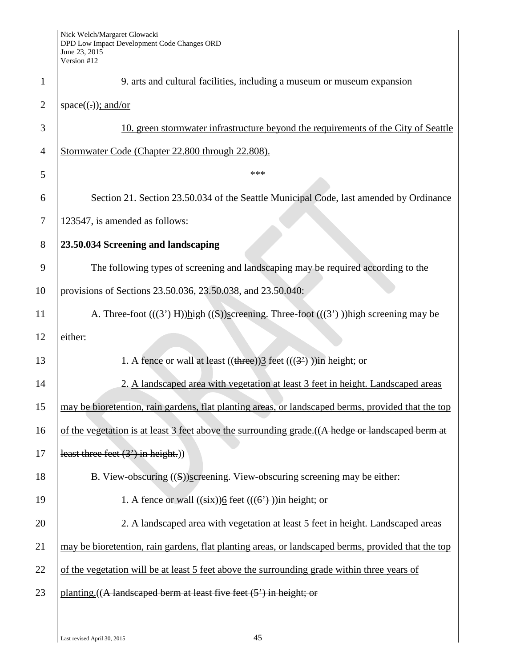| $\mathbf{1}$   | 9. arts and cultural facilities, including a museum or museum expansion                            |
|----------------|----------------------------------------------------------------------------------------------------|
| $\overline{2}$ | $space((.))$ ; and/or                                                                              |
| 3              | 10. green stormwater infrastructure beyond the requirements of the City of Seattle                 |
| $\overline{4}$ | Stormwater Code (Chapter 22.800 through 22.808).                                                   |
| 5              | ***                                                                                                |
| 6              | Section 21. Section 23.50.034 of the Seattle Municipal Code, last amended by Ordinance             |
| 7              | 123547, is amended as follows:                                                                     |
| 8              | 23.50.034 Screening and landscaping                                                                |
| 9              | The following types of screening and landscaping may be required according to the                  |
| 10             | provisions of Sections 23.50.036, 23.50.038, and 23.50.040:                                        |
| 11             | A. Three-foot $((3, 4)$ H $))$ high $((5))$ screening. Three-foot $((3, 4))$ high screening may be |
| 12             | either:                                                                                            |
| 13             | 1. A fence or wall at least $((\text{three}))\underline{3}$ feet $(((3))$ ) in height; or          |
| 14             | 2. A landscaped area with vegetation at least 3 feet in height. Landscaped areas                   |
| 15             | may be bioretention, rain gardens, flat planting areas, or landscaped berms, provided that the top |
| 16             | of the vegetation is at least 3 feet above the surrounding grade. ((A hedge or landscaped berm at  |
| 17             | least three feet $(3')$ in height.))                                                               |
| 18             | B. View-obscuring $((S))$ screening. View-obscuring screening may be either:                       |
| 19             | 1. A fence or wall $((\overrightarrow{six}))$ feet $((\overrightarrow{6})$ ) in height; or         |
| 20             | 2. A landscaped area with vegetation at least 5 feet in height. Landscaped areas                   |
| 21             | may be bioretention, rain gardens, flat planting areas, or landscaped berms, provided that the top |
| 22             | of the vegetation will be at least 5 feet above the surrounding grade within three years of        |
| 23             | planting. ((A landscaped berm at least five feet (5') in height; or                                |
|                |                                                                                                    |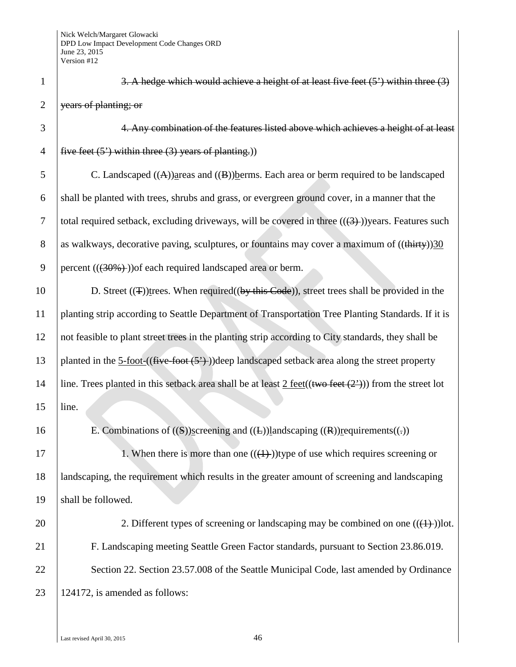| $\mathbf{1}$   | 3. A hedge which would achieve a height of at least five feet $(5')$ within three $(3)$                                  |
|----------------|--------------------------------------------------------------------------------------------------------------------------|
| $\overline{2}$ | years of planting; or                                                                                                    |
| 3              | 4. Any combination of the features listed above which achieves a height of at least                                      |
| $\overline{4}$ | five feet $(5')$ within three $(3)$ years of planting.)                                                                  |
| 5              | C. Landscaped $((A))$ areas and $((B))$ berms. Each area or berm required to be landscaped                               |
| 6              | shall be planted with trees, shrubs and grass, or evergreen ground cover, in a manner that the                           |
| 7              | total required setback, excluding driveways, will be covered in three $((3+))$ years. Features such                      |
| 8              | as walkways, decorative paving, sculptures, or fountains may cover a maximum of ((thirty))30                             |
| 9              | percent $((30\%)$ ) of each required landscaped area or berm.                                                            |
| 10             | D. Street $((\texttt{T}))$ trees. When required $((by this Code))$ , street trees shall be provided in the               |
| 11             | planting strip according to Seattle Department of Transportation Tree Planting Standards. If it is                       |
| 12             | not feasible to plant street trees in the planting strip according to City standards, they shall be                      |
| 13             | planted in the $5\text{-foot-}((five\text{-foot}(\frac{5}{})))$ deep landscaped setback area along the street property   |
| 14             | line. Trees planted in this setback area shall be at least $2 \text{ feet}((\text{two feet } (2')))$ from the street lot |
| 15             | line.                                                                                                                    |
| 16             | E. Combinations of $((S))$ screening and $((E))$ landscaping $((R))$ requirements $((.)$                                 |
| 17             | 1. When there is more than one $((4+))$ type of use which requires screening or                                          |
| 18             | landscaping, the requirement which results in the greater amount of screening and landscaping                            |
| 19             | shall be followed.                                                                                                       |
| 20             | 2. Different types of screening or landscaping may be combined on one $((1+))$ lot.                                      |
| 21             | F. Landscaping meeting Seattle Green Factor standards, pursuant to Section 23.86.019.                                    |
| 22             | Section 22. Section 23.57.008 of the Seattle Municipal Code, last amended by Ordinance                                   |
| 23             | 124172, is amended as follows:                                                                                           |
|                |                                                                                                                          |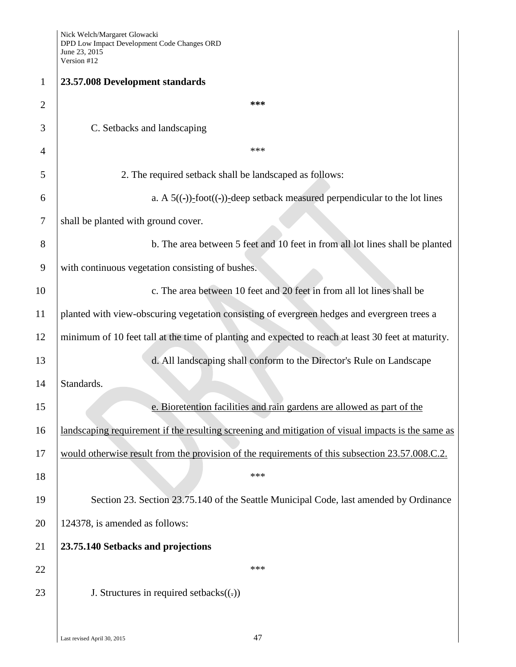| $\mathbf{1}$   | 23.57.008 Development standards                                                                     |
|----------------|-----------------------------------------------------------------------------------------------------|
| $\overline{2}$ | ***                                                                                                 |
| 3              | C. Setbacks and landscaping                                                                         |
| 4              | ***                                                                                                 |
| 5              | 2. The required setback shall be landscaped as follows:                                             |
| 6              | a. A $5((-))$ -foot $((-))$ -deep setback measured perpendicular to the lot lines                   |
| $\tau$         | shall be planted with ground cover.                                                                 |
| 8              | b. The area between 5 feet and 10 feet in from all lot lines shall be planted                       |
| 9              | with continuous vegetation consisting of bushes.                                                    |
| 10             | c. The area between 10 feet and 20 feet in from all lot lines shall be                              |
| 11             | planted with view-obscuring vegetation consisting of evergreen hedges and evergreen trees a         |
| 12             | minimum of 10 feet tall at the time of planting and expected to reach at least 30 feet at maturity. |
| 13             | d. All landscaping shall conform to the Director's Rule on Landscape                                |
| 14             | Standards.                                                                                          |
| 15             | e. Bioretention facilities and rain gardens are allowed as part of the                              |
| 16             | landscaping requirement if the resulting screening and mitigation of visual impacts is the same as  |
| 17             | would otherwise result from the provision of the requirements of this subsection 23.57.008.C.2.     |
| 18             | ***                                                                                                 |
| 19             | Section 23. Section 23.75.140 of the Seattle Municipal Code, last amended by Ordinance              |
| 20             | 124378, is amended as follows:                                                                      |
| 21             | 23.75.140 Setbacks and projections                                                                  |
| 22             | ***                                                                                                 |
| 23             | J. Structures in required setbacks $((.)$                                                           |
|                |                                                                                                     |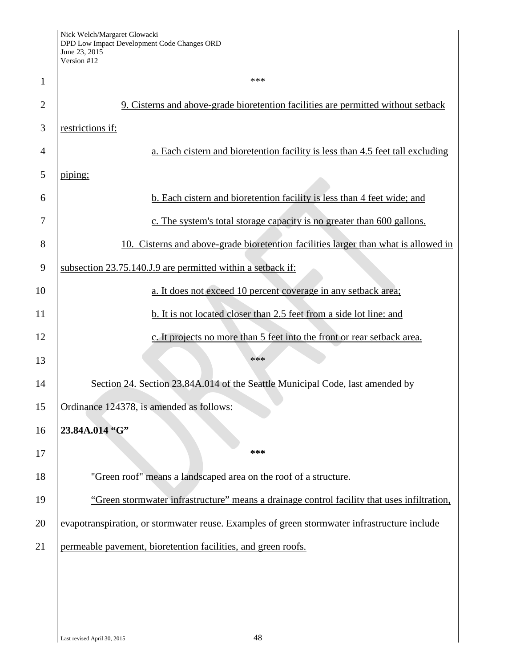| $\mathbf{1}$   | ***                                                                                          |
|----------------|----------------------------------------------------------------------------------------------|
| $\overline{2}$ | 9. Cisterns and above-grade bioretention facilities are permitted without setback            |
| 3              | restrictions if:                                                                             |
| 4              | a. Each cistern and bioretention facility is less than 4.5 feet tall excluding               |
| 5              | piping;                                                                                      |
| 6              | b. Each cistern and bioretention facility is less than 4 feet wide; and                      |
| 7              | c. The system's total storage capacity is no greater than 600 gallons.                       |
| 8              | 10. Cisterns and above-grade bioretention facilities larger than what is allowed in          |
| 9              | subsection 23.75.140.J.9 are permitted within a setback if:                                  |
| 10             | a. It does not exceed 10 percent coverage in any setback area;                               |
| 11             | b. It is not located closer than 2.5 feet from a side lot line: and                          |
| 12             | c. It projects no more than 5 feet into the front or rear setback area.                      |
| 13             | ***                                                                                          |
| 14             | Section 24. Section 23.84A.014 of the Seattle Municipal Code, last amended by                |
| 15             | Ordinance 124378, is amended as follows:                                                     |
| 16             | 23.84A.014 "G"                                                                               |
| 17             | ***                                                                                          |
| 18             | "Green roof" means a landscaped area on the roof of a structure.                             |
| 19             | "Green stormwater infrastructure" means a drainage control facility that uses infiltration,  |
| 20             | evapotranspiration, or stormwater reuse. Examples of green stormwater infrastructure include |
| 21             | permeable pavement, bioretention facilities, and green roofs.                                |
|                |                                                                                              |
|                |                                                                                              |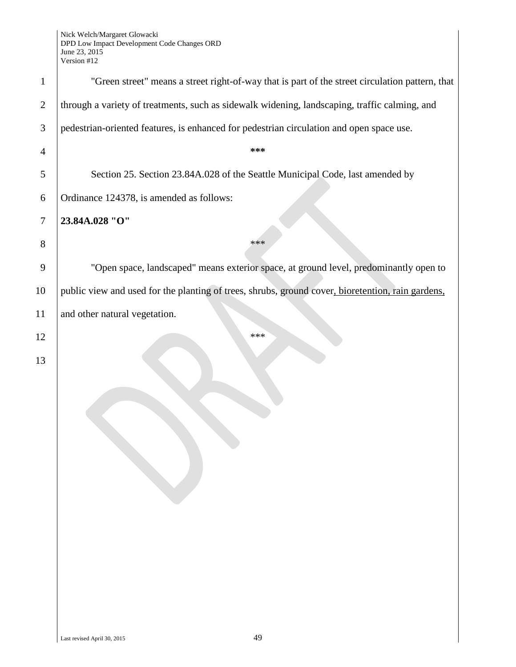| "Green street" means a street right-of-way that is part of the street circulation pattern, that   |
|---------------------------------------------------------------------------------------------------|
| through a variety of treatments, such as sidewalk widening, landscaping, traffic calming, and     |
| pedestrian-oriented features, is enhanced for pedestrian circulation and open space use.          |
| ***                                                                                               |
| Section 25. Section 23.84A.028 of the Seattle Municipal Code, last amended by                     |
| Ordinance 124378, is amended as follows:                                                          |
| 23.84A.028 "O"                                                                                    |
| ***                                                                                               |
| "Open space, landscaped" means exterior space, at ground level, predominantly open to             |
| public view and used for the planting of trees, shrubs, ground cover, bioretention, rain gardens, |
| and other natural vegetation.                                                                     |
| ***                                                                                               |
|                                                                                                   |
|                                                                                                   |
|                                                                                                   |